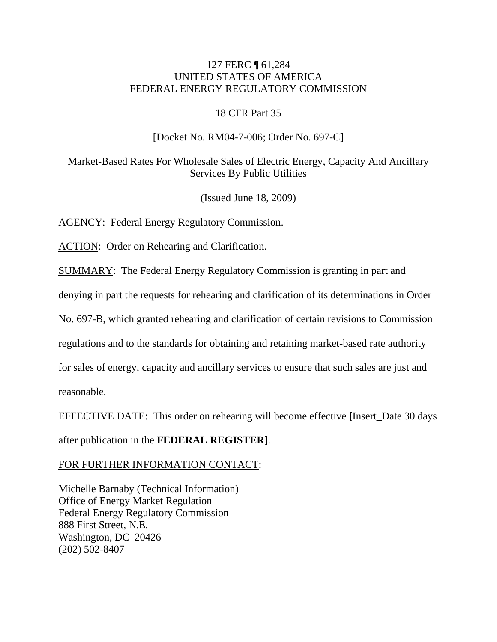## 127 FERC ¶ 61,284 UNITED STATES OF AMERICA FEDERAL ENERGY REGULATORY COMMISSION

#### 18 CFR Part 35

#### [Docket No. RM04-7-006; Order No. 697-C]

Market-Based Rates For Wholesale Sales of Electric Energy, Capacity And Ancillary Services By Public Utilities

(Issued June 18, 2009)

AGENCY: Federal Energy Regulatory Commission.

ACTION: Order on Rehearing and Clarification.

SUMMARY: The Federal Energy Regulatory Commission is granting in part and

denying in part the requests for rehearing and clarification of its determinations in Order

No. 697-B, which granted rehearing and clarification of certain revisions to Commission

regulations and to the standards for obtaining and retaining market-based rate authority

for sales of energy, capacity and ancillary services to ensure that such sales are just and

reasonable.

EFFECTIVE DATE: This order on rehearing will become effective **[**Insert\_Date 30 days

after publication in the **FEDERAL REGISTER]**.

FOR FURTHER INFORMATION CONTACT:

Michelle Barnaby (Technical Information) Office of Energy Market Regulation Federal Energy Regulatory Commission 888 First Street, N.E. Washington, DC 20426 (202) 502-8407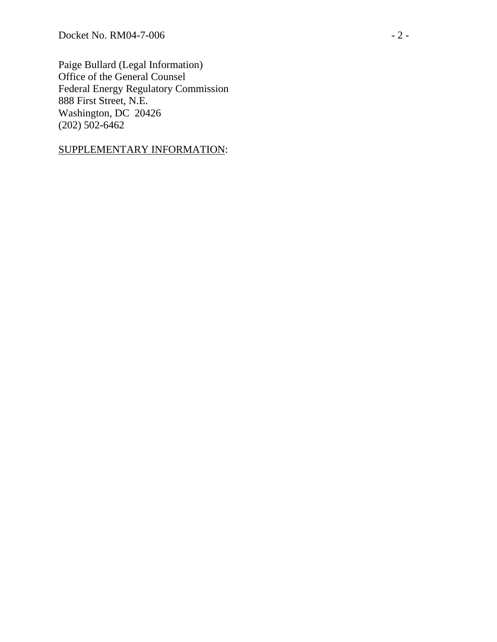Paige Bullard (Legal Information) Office of the General Counsel Federal Energy Regulatory Commission 888 First Street, N.E. Washington, DC 20426 (202) 502-6462

## SUPPLEMENTARY INFORMATION :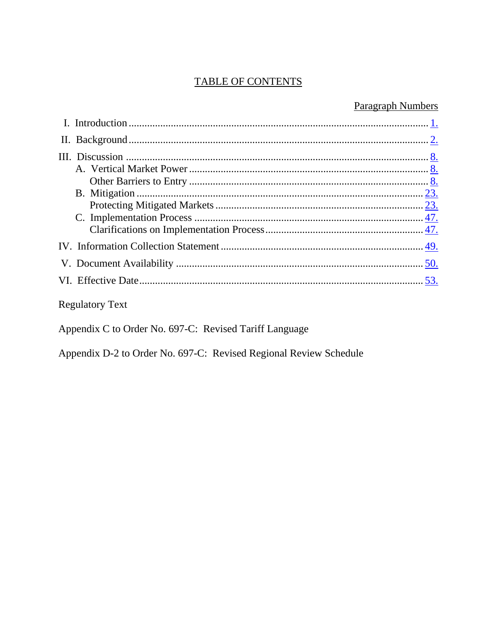## TABLE OF CONTENTS

## **Paragraph Numbers**

## **Regulatory Text**

Appendix C to Order No. 697-C: Revised Tariff Language

Appendix D-2 to Order No. 697-C: Revised Regional Review Schedule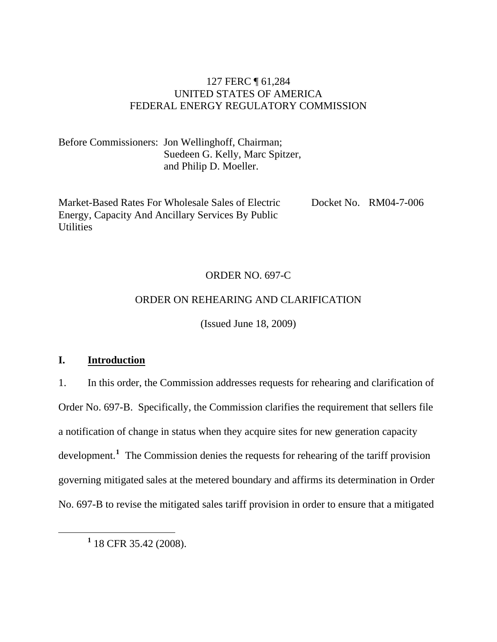## 127 FERC ¶ 61,284 UNITED STATES OF AMERICA FEDERAL ENERGY REGULATORY COMMISSION

<span id="page-3-0"></span>Before Commissioners: Jon Wellinghoff, Chairman; Suedeen G. Kelly, Marc Spitzer, and Philip D. Moeller.

Market-Based Rates For Wholesale Sales of Electric Energy, Capacity And Ancillary Services By Public **Utilities** 

Docket No. RM04-7-006

## ORDER NO. 697-C

## ORDER ON REHEARING AND CLARIFICATION

(Issued June 18, 2009)

## **I. Introduction**

1. In this order, the Commission addresses requests for rehearing and clarification of Order No. 697-B. Specifically, the Commission clarifies the requirement that sellers file a notification of change in status when they acquire sites for new generation capacity development.<sup>[1](#page-3-1)</sup> The Commission denies the requests for rehearing of the tariff provision governing mitigated sales at the metered boundary and affirms its determination in Order No. 697-B to revise the mitigated sales tariff provision in order to ensure that a mitigated

<span id="page-3-1"></span> $\frac{1}{1}$  $1$  18 CFR 35.42 (2008).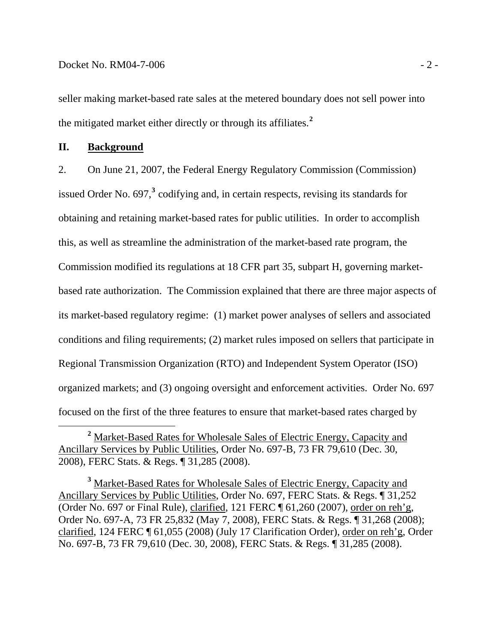<span id="page-4-0"></span>seller making market-based rate sales at the metered boundary does not sell power into the mitigated market either directly or through its affiliates.**<sup>2</sup>**

#### **II. Background**

2. On June 21, 2007, the Federal Energy Regulatory Commission (Commission) issued Order No. 697,**[3](#page-4-1)** codifying and, in certain respects, revising its standards for obtaining and retaining market-based rates for public utilities. In order to accomplish this, as well as streamline the administration of the market-based rate program, the Commission modified its regulations at 18 CFR part 35, subpart H, governing marketbased rate authorization. The Commission explained that there are three major aspects of its market-based regulatory regime: (1) market power analyses of sellers and associated conditions and filing requirements; (2) market rules imposed on sellers that participate in Regional Transmission Organization (RTO) and Independent System Operator (ISO) organized markets; and (3) ongoing oversight and enforcement activities. Order No. 697 focused on the first of the three features to ensure that market-based rates charged by

**<sup>2</sup>** Market-Based Rates for Wholesale Sales of Electric Energy, Capacity and Ancillary Services by Public Utilities, Order No. 697-B, 73 FR 79,610 (Dec. 30, 2008), FERC Stats. & Regs. ¶ 31,285 (2008).

<span id="page-4-1"></span>**<sup>3</sup>** Market-Based Rates for Wholesale Sales of Electric Energy, Capacity and Ancillary Services by Public Utilities, Order No. 697, FERC Stats. & Regs. ¶ 31,252 (Order No. 697 or Final Rule), clarified, 121 FERC ¶ 61,260 (2007), order on reh'g, Order No. 697-A, 73 FR 25,832 (May 7, 2008), FERC Stats. & Regs. ¶ 31,268 (2008); clarified, 124 FERC ¶ 61,055 (2008) (July 17 Clarification Order), order on reh'g, Order No. 697-B, 73 FR 79,610 (Dec. 30, 2008), FERC Stats. & Regs. ¶ 31,285 (2008).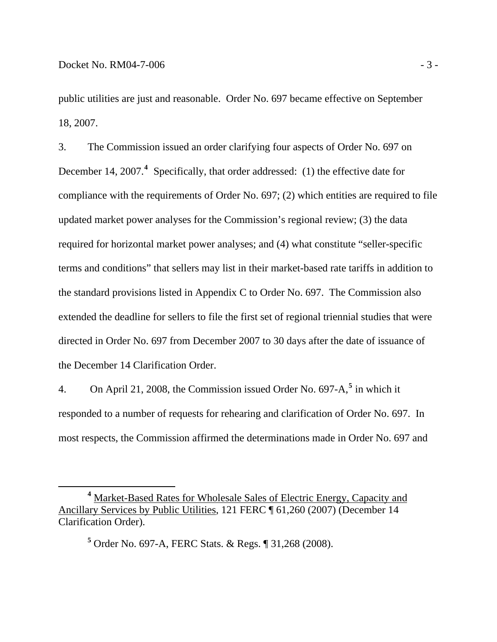$\overline{a}$ 

public utilities are just and reasonable. Order No. 697 became effective on September 18, 2007.

3. The Commission issued an order clarifying four aspects of Order No. 697 on December 1[4](#page-5-0), 2007.<sup>4</sup> Specifically, that order addressed: (1) the effective date for compliance with the requirements of Order No. 697; (2) which entities are required to file updated market power analyses for the Commission's regional review; (3) the data required for horizontal market power analyses; and (4) what constitute "seller-specific terms and conditions" that sellers may list in their market-based rate tariffs in addition to the standard provisions listed in Appendix C to Order No. 697. The Commission also extended the deadline for sellers to file the first set of regional triennial studies that were directed in Order No. 697 from December 2007 to 30 days after the date of issuance of the December 14 Clarification Order.

4. On April 21, 2008, the Commission issued Order No. 697-A,**[5](#page-5-1)** in which it responded to a number of requests for rehearing and clarification of Order No. 697. In most respects, the Commission affirmed the determinations made in Order No. 697 and

**5** Order No. 697-A, FERC Stats. & Regs. ¶ 31,268 (2008).

<span id="page-5-1"></span><span id="page-5-0"></span>**<sup>4</sup>** Market-Based Rates for Wholesale Sales of Electric Energy, Capacity and Ancillary Services by Public Utilities, 121 FERC ¶ 61,260 (2007) (December 14 Clarification Order).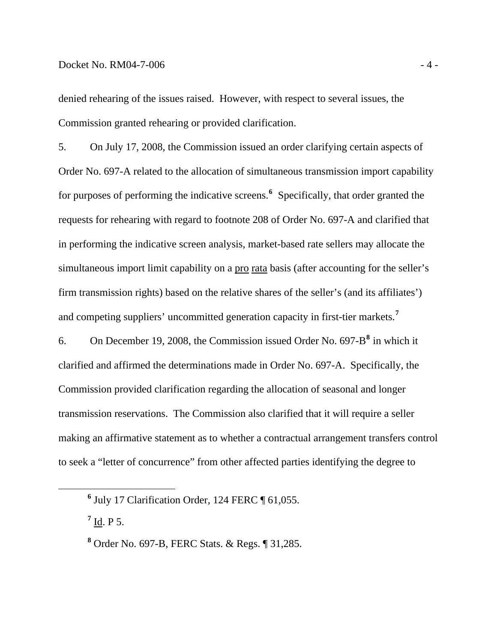#### Docket No. RM04-7-006 - 4 -

denied rehearing of the issues raised. However, with respect to several issues, the Commission granted rehearing or provided clarification.

5. On July 17, 2008, the Commission issued an order clarifying certain aspects of Order No. 697-A related to the allocation of simultaneous transmission import capability for purposes of performing the indicative screens.**[6](#page-6-0)** Specifically, that order granted the requests for rehearing with regard to footnote 208 of Order No. 697-A and clarified that in performing the indicative screen analysis, market-based rate sellers may allocate the simultaneous import limit capability on a pro rata basis (after accounting for the seller's firm transmission rights) based on the relative shares of the seller's (and its affiliates') and competing suppliers' uncommitted generation capacity in first-tier markets.**[7](#page-6-1)**

6. On December 19, 2008, the Commission issued Order No. 697-B**[8](#page-6-2)** in which it clarified and affirmed the determinations made in Order No. 697-A. Specifically, the Commission provided clarification regarding the allocation of seasonal and longer transmission reservations. The Commission also clarified that it will require a seller making an affirmative statement as to whether a contractual arrangement transfers control to seek a "letter of concurrence" from other affected parties identifying the degree to

**<sup>7</sup>** Id. P 5.

<span id="page-6-2"></span><span id="page-6-1"></span><span id="page-6-0"></span>**<sup>6</sup>**  $<sup>6</sup>$  July 17 Clarification Order, 124 FERC  $\P$  61,055.</sup>

**<sup>8</sup>** Order No. 697-B, FERC Stats. & Regs. ¶ 31,285.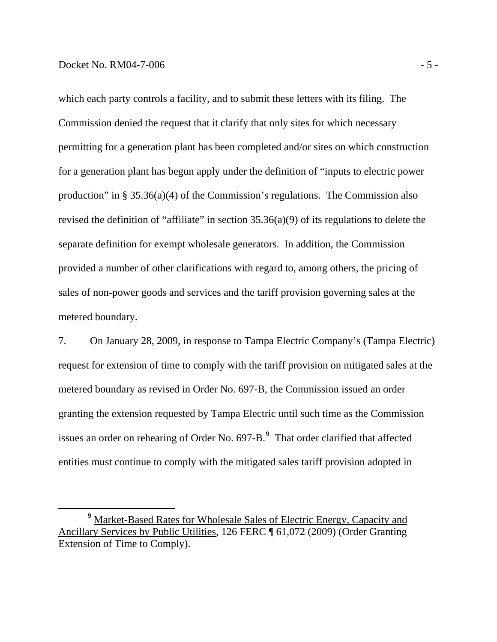$\overline{a}$ 

which each party controls a facility, and to submit these letters with its filing. The Commission denied the request that it clarify that only sites for which necessary permitting for a generation plant has been completed and/or sites on which construction for a generation plant has begun apply under the definition of "inputs to electric power production" in  $\S 35.36(a)(4)$  of the Commission's regulations. The Commission also revised the definition of "affiliate" in section  $35.36(a)(9)$  of its regulations to delete the separate definition for exempt wholesale generators. In addition, the Commission provided a number of other clarifications with regard to, among others, the pricing of sales of non-power goods and services and the tariff provision governing sales at the metered boundary.

7. On January 28, 2009, in response to Tampa Electric Company's (Tampa Electric) request for extension of time to comply with the tariff provision on mitigated sales at the metered boundary as revised in Order No. 697-B, the Commission issued an order granting the extension requested by Tampa Electric until such time as the Commission issues an order on rehearing of Order No. 697-B.**[9](#page-7-0)** That order clarified that affected entities must continue to comply with the mitigated sales tariff provision adopted in

<span id="page-7-0"></span>**<sup>9</sup>** Market-Based Rates for Wholesale Sales of Electric Energy, Capacity and Ancillary Services by Public Utilities, 126 FERC ¶ 61,072 (2009) (Order Granting Extension of Time to Comply).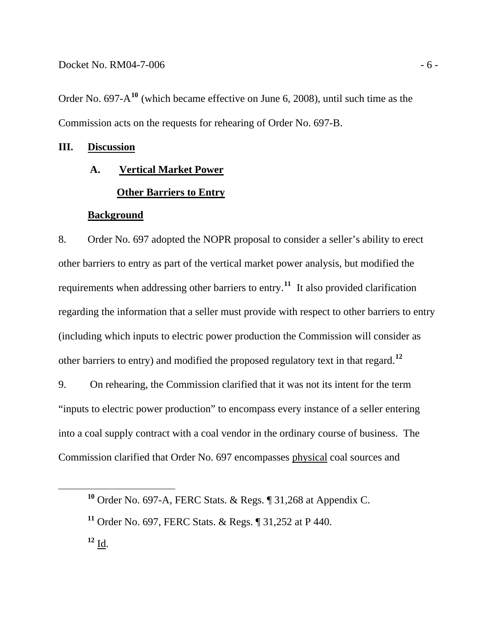<span id="page-8-0"></span>Order No. 697-A**<sup>10</sup>** (which became effective on June 6, 2008), until such time as the Commission acts on the requests for rehearing of Order No. 697-B.

#### **III. Discussion**

#### **A. Vertical Market Power**

#### **Other Barriers to Entry**

#### **Background**

8. Order No. 697 adopted the NOPR proposal to consider a seller's ability to erect other barriers to entry as part of the vertical market power analysis, but modified the requirements when addressing other barriers to entry.**[11](#page-8-1)** It also provided clarification regarding the information that a seller must provide with respect to other barriers to entry (including which inputs to electric power production the Commission will consider as other barriers to entry) and modified the proposed regulatory text in that regard.**[12](#page-8-2)**

9. On rehearing, the Commission clarified that it was not its intent for the term "inputs to electric power production" to encompass every instance of a seller entering into a coal supply contract with a coal vendor in the ordinary course of business. The Commission clarified that Order No. 697 encompasses physical coal sources and

<span id="page-8-2"></span> $^{12}$  <u>Id</u>.

**<sup>10</sup>** Order No. 697-A, FERC Stats. & Regs. ¶ 31,268 at Appendix C.

<span id="page-8-1"></span>**<sup>11</sup>** Order No. 697, FERC Stats. & Regs. ¶ 31,252 at P 440.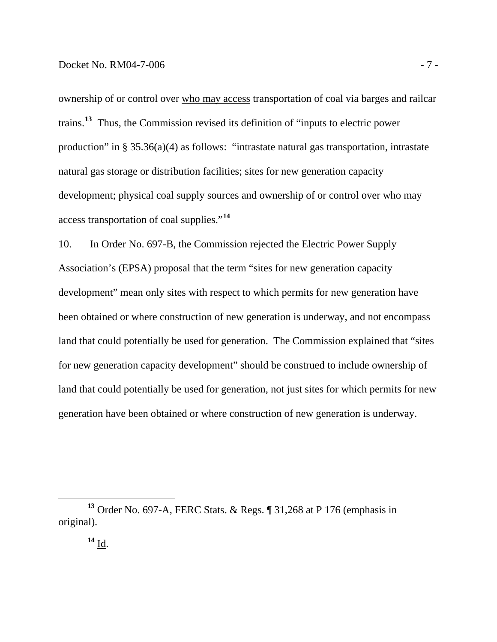#### Docket No. RM04-7-006 - 7 -

ownership of or control over who may access transportation of coal via barges and railcar trains.**<sup>13</sup>** Thus, the Commission revised its definition of "inputs to electric power production" in § 35.36(a)(4) as follows: "intrastate natural gas transportation, intrastate natural gas storage or distribution facilities; sites for new generation capacity development; physical coal supply sources and ownership of or control over who may access transportation of coal supplies."**<sup>14</sup>**

10. In Order No. 697-B, the Commission rejected the Electric Power Supply Association's (EPSA) proposal that the term "sites for new generation capacity development" mean only sites with respect to which permits for new generation have been obtained or where construction of new generation is underway, and not encompass land that could potentially be used for generation. The Commission explained that "sites for new generation capacity development" should be construed to include ownership of land that could potentially be used for generation, not just sites for which permits for new generation have been obtained or where construction of new generation is underway.

**<sup>13</sup>** Order No. 697-A, FERC Stats. & Regs. ¶ 31,268 at P 176 (emphasis in original).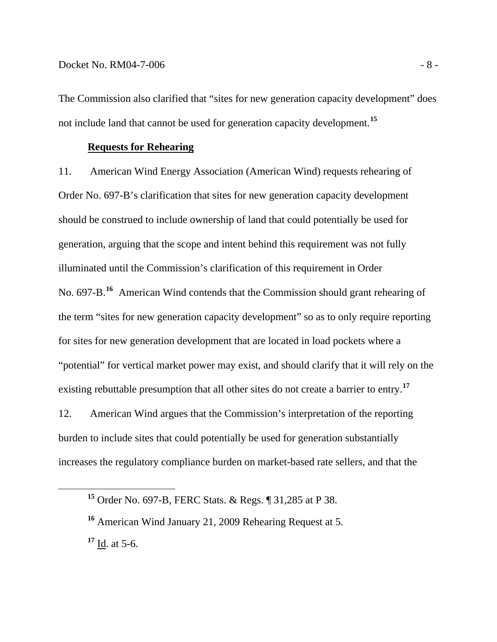The Commission also clarified that "sites for new generation capacity development" does not include land that cannot be used for generation capacity development.**<sup>15</sup>**

#### **Requests for Rehearing**

11. American Wind Energy Association (American Wind) requests rehearing of Order No. 697-B's clarification that sites for new generation capacity development should be construed to include ownership of land that could potentially be used for generation, arguing that the scope and intent behind this requirement was not fully illuminated until the Commission's clarification of this requirement in Order No. 697-B.**[16](#page-10-0)** American Wind contends that the Commission should grant rehearing of the term "sites for new generation capacity development" so as to only require reporting for sites for new generation development that are located in load pockets where a "potential" for vertical market power may exist, and should clarify that it will rely on the existing rebuttable presumption that all other sites do not create a barrier to entry.**[17](#page-10-1)**

12. American Wind argues that the Commission's interpretation of the reporting burden to include sites that could potentially be used for generation substantially increases the regulatory compliance burden on market-based rate sellers, and that the

**<sup>15</sup>** Order No. 697-B, FERC Stats. & Regs. ¶ 31,285 at P 38.

<span id="page-10-1"></span><span id="page-10-0"></span>**<sup>16</sup>** American Wind January 21, 2009 Rehearing Request at 5. **<sup>17</sup>** Id. at 5-6.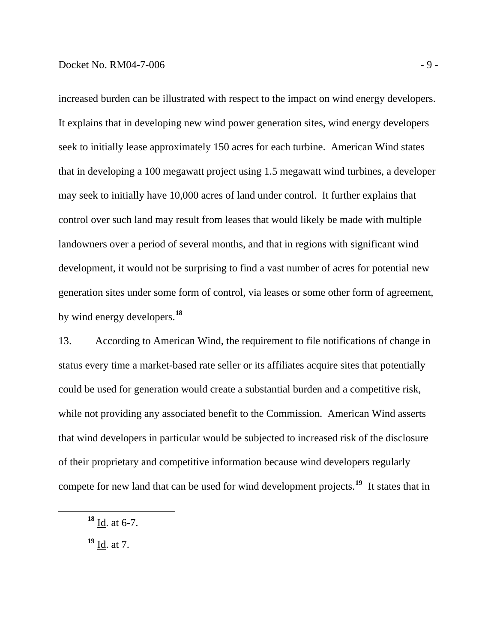increased burden can be illustrated with respect to the impact on wind energy developers. It explains that in developing new wind power generation sites, wind energy developers seek to initially lease approximately 150 acres for each turbine. American Wind states that in developing a 100 megawatt project using 1.5 megawatt wind turbines, a developer may seek to initially have 10,000 acres of land under control. It further explains that control over such land may result from leases that would likely be made with multiple landowners over a period of several months, and that in regions with significant wind development, it would not be surprising to find a vast number of acres for potential new generation sites under some form of control, via leases or some other form of agreement, by wind energy developers.**<sup>18</sup>**

13. According to American Wind, the requirement to file notifications of change in status every time a market-based rate seller or its affiliates acquire sites that potentially could be used for generation would create a substantial burden and a competitive risk, while not providing any associated benefit to the Commission. American Wind asserts that wind developers in particular would be subjected to increased risk of the disclosure of their proprietary and competitive information because wind developers regularly compete for new land that can be used for wind development projects.**[19](#page-11-0)** It states that in

**<sup>18</sup>** Id. at 6-7.

<span id="page-11-0"></span>**<sup>19</sup>** Id. at 7.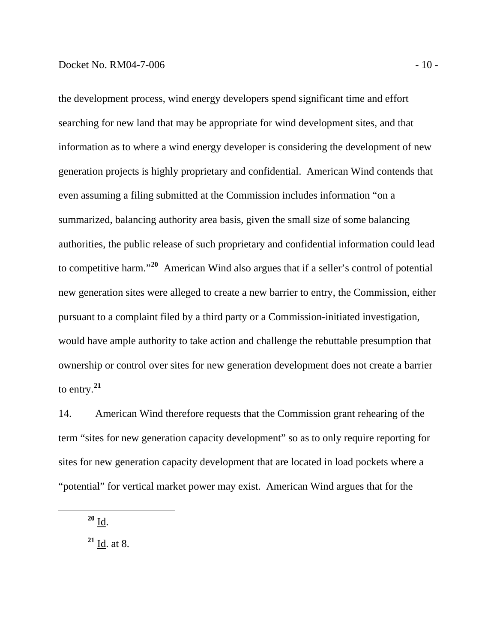the development process, wind energy developers spend significant time and effort searching for new land that may be appropriate for wind development sites, and that information as to where a wind energy developer is considering the development of new generation projects is highly proprietary and confidential. American Wind contends that even assuming a filing submitted at the Commission includes information "on a summarized, balancing authority area basis, given the small size of some balancing authorities, the public release of such proprietary and confidential information could lead to competitive harm."**<sup>20</sup>** American Wind also argues that if a seller's control of potential new generation sites were alleged to create a new barrier to entry, the Commission, either pursuant to a complaint filed by a third party or a Commission-initiated investigation, would have ample authority to take action and challenge the rebuttable presumption that ownership or control over sites for new generation development does not create a barrier to entry.**<sup>21</sup>**

14. American Wind therefore requests that the Commission grant rehearing of the term "sites for new generation capacity development" so as to only require reporting for sites for new generation capacity development that are located in load pockets where a "potential" for vertical market power may exist. American Wind argues that for the

**<sup>20</sup>** Id.

 $\overline{a}$ 

**<sup>21</sup>** Id. at 8.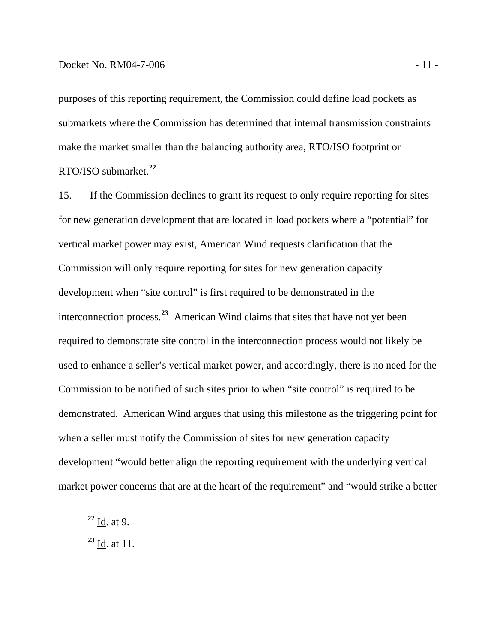purposes of this reporting requirement, the Commission could define load pockets as submarkets where the Commission has determined that internal transmission constraints make the market smaller than the balancing authority area, RTO/ISO footprint or RTO/ISO submarket.**<sup>22</sup>**

15. If the Commission declines to grant its request to only require reporting for sites for new generation development that are located in load pockets where a "potential" for vertical market power may exist, American Wind requests clarification that the Commission will only require reporting for sites for new generation capacity development when "site control" is first required to be demonstrated in the interconnection process.**[23](#page-13-0)** American Wind claims that sites that have not yet been required to demonstrate site control in the interconnection process would not likely be used to enhance a seller's vertical market power, and accordingly, there is no need for the Commission to be notified of such sites prior to when "site control" is required to be demonstrated. American Wind argues that using this milestone as the triggering point for when a seller must notify the Commission of sites for new generation capacity development "would better align the reporting requirement with the underlying vertical market power concerns that are at the heart of the requirement" and "would strike a better

**<sup>22</sup>** Id. at 9.

<span id="page-13-0"></span>**<sup>23</sup>** Id. at 11.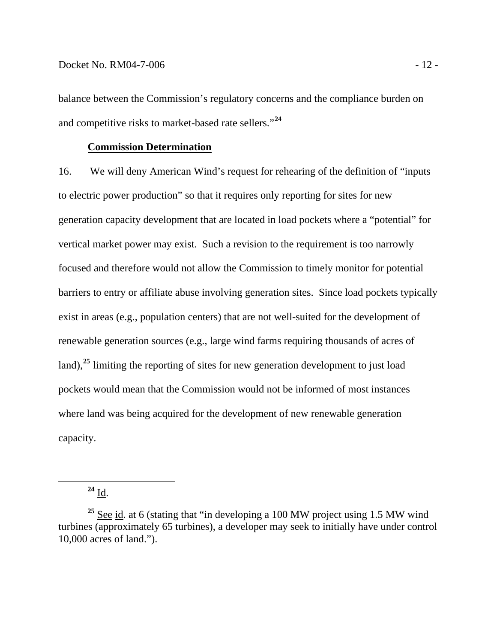balance between the Commission's regulatory concerns and the compliance burden on and competitive risks to market-based rate sellers."**<sup>24</sup>**

#### **Commission Determination**

16. We will deny American Wind's request for rehearing of the definition of "inputs to electric power production" so that it requires only reporting for sites for new generation capacity development that are located in load pockets where a "potential" for vertical market power may exist. Such a revision to the requirement is too narrowly focused and therefore would not allow the Commission to timely monitor for potential barriers to entry or affiliate abuse involving generation sites. Since load pockets typically exist in areas (e.g., population centers) that are not well-suited for the development of renewable generation sources (e.g., large wind farms requiring thousands of acres of land),**[25](#page-14-0)** limiting the reporting of sites for new generation development to just load pockets would mean that the Commission would not be informed of most instances where land was being acquired for the development of new renewable generation capacity.

**<sup>24</sup>** Id.

<span id="page-14-0"></span>**<sup>25</sup>** See id. at 6 (stating that "in developing a 100 MW project using 1.5 MW wind turbines (approximately 65 turbines), a developer may seek to initially have under control 10,000 acres of land.").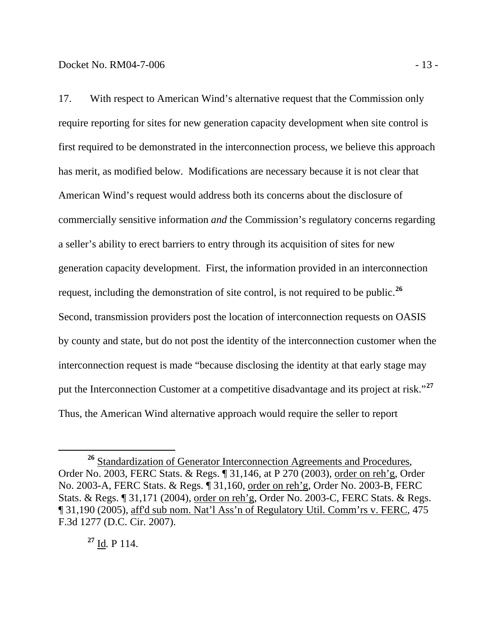17. With respect to American Wind's alternative request that the Commission only require reporting for sites for new generation capacity development when site control is first required to be demonstrated in the interconnection process, we believe this approach has merit, as modified below. Modifications are necessary because it is not clear that American Wind's request would address both its concerns about the disclosure of commercially sensitive information *and* the Commission's regulatory concerns regarding a seller's ability to erect barriers to entry through its acquisition of sites for new generation capacity development. First, the information provided in an interconnection request, including the demonstration of site control, is not required to be public.**[26](#page-15-0)** Second, transmission providers post the location of interconnection requests on OASIS by county and state, but do not post the identity of the interconnection customer when the interconnection request is made "because disclosing the identity at that early stage may put the Interconnection Customer at a competitive disadvantage and its project at risk."**[27](#page-15-1)** Thus, the American Wind alternative approach would require the seller to report

<span id="page-15-1"></span>**<sup>27</sup>** Id*.* P 114.

<span id="page-15-0"></span><sup>&</sup>lt;sup>26</sup> Standardization of Generator Interconnection Agreements and Procedures, Order No. 2003, FERC Stats. & Regs. ¶ 31,146, at P 270 (2003), order on reh'g, Order No. 2003-A, FERC Stats. & Regs. ¶ 31,160, order on reh'g, Order No. 2003-B, FERC Stats. & Regs. ¶ 31,171 (2004), order on reh'g, Order No. 2003-C, FERC Stats. & Regs. ¶ 31,190 (2005), aff'd sub nom. Nat'l Ass'n of Regulatory Util. Comm'rs v. FERC, 475 F.3d 1277 (D.C. Cir. 2007).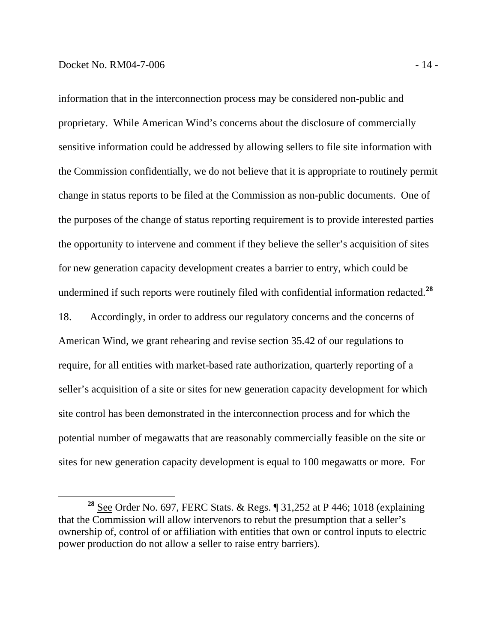$\overline{a}$ 

information that in the interconnection process may be considered non-public and proprietary. While American Wind's concerns about the disclosure of commercially sensitive information could be addressed by allowing sellers to file site information with the Commission confidentially, we do not believe that it is appropriate to routinely permit change in status reports to be filed at the Commission as non-public documents. One of the purposes of the change of status reporting requirement is to provide interested parties the opportunity to intervene and comment if they believe the seller's acquisition of sites for new generation capacity development creates a barrier to entry, which could be undermined if such reports were routinely filed with confidential information redacted.**<sup>28</sup>** 18. Accordingly, in order to address our regulatory concerns and the concerns of American Wind, we grant rehearing and revise section 35.42 of our regulations to require, for all entities with market-based rate authorization, quarterly reporting of a

seller's acquisition of a site or sites for new generation capacity development for which site control has been demonstrated in the interconnection process and for which the potential number of megawatts that are reasonably commercially feasible on the site or sites for new generation capacity development is equal to 100 megawatts or more. For

**<sup>28</sup>** See Order No. 697, FERC Stats. & Regs. ¶ 31,252 at P 446; 1018 (explaining that the Commission will allow intervenors to rebut the presumption that a seller's ownership of, control of or affiliation with entities that own or control inputs to electric power production do not allow a seller to raise entry barriers).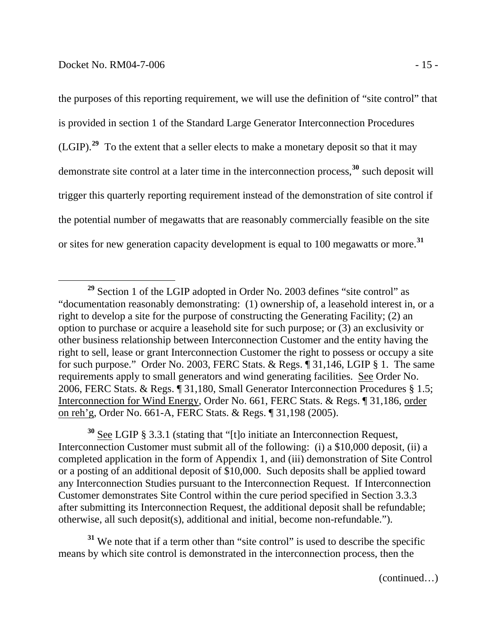the purposes of this reporting requirement, we will use the definition of "site control" that is provided in section 1 of the Standard Large Generator Interconnection Procedures (LGIP).**<sup>29</sup>** To the extent that a seller elects to make a monetary deposit so that it may demonstrate site control at a later time in the interconnection process,**<sup>30</sup>** such deposit will trigger this quarterly reporting requirement instead of the demonstration of site control if the potential number of megawatts that are reasonably commercially feasible on the site or sites for new generation capacity development is equal to 100 megawatts or more.**<sup>31</sup>**

**<sup>30</sup>** See LGIP § 3.3.1 (stating that "[t]o initiate an Interconnection Request, Interconnection Customer must submit all of the following: (i) a \$10,000 deposit, (ii) a completed application in the form of Appendix 1, and (iii) demonstration of Site Control or a posting of an additional deposit of \$10,000. Such deposits shall be applied toward any Interconnection Studies pursuant to the Interconnection Request. If Interconnection Customer demonstrates Site Control within the cure period specified in Section 3.3.3 after submitting its Interconnection Request, the additional deposit shall be refundable; otherwise, all such deposit(s), additional and initial, become non-refundable.").

<sup>31</sup> We note that if a term other than "site control" is used to describe the specific means by which site control is demonstrated in the interconnection process, then the

(continued…)

**<sup>29</sup>** Section 1 of the LGIP adopted in Order No. 2003 defines "site control" as "documentation reasonably demonstrating: (1) ownership of, a leasehold interest in, or a right to develop a site for the purpose of constructing the Generating Facility; (2) an option to purchase or acquire a leasehold site for such purpose; or (3) an exclusivity or other business relationship between Interconnection Customer and the entity having the right to sell, lease or grant Interconnection Customer the right to possess or occupy a site for such purpose." Order No. 2003, FERC Stats. & Regs. ¶ 31,146, LGIP § 1. The same requirements apply to small generators and wind generating facilities. See Order No. 2006, FERC Stats. & Regs. ¶ 31,180, Small Generator Interconnection Procedures § 1.5; Interconnection for Wind Energy, Order No. 661, FERC Stats. & Regs. ¶ 31,186, order on reh'g, Order No. 661-A, FERC Stats. & Regs. ¶ 31,198 (2005).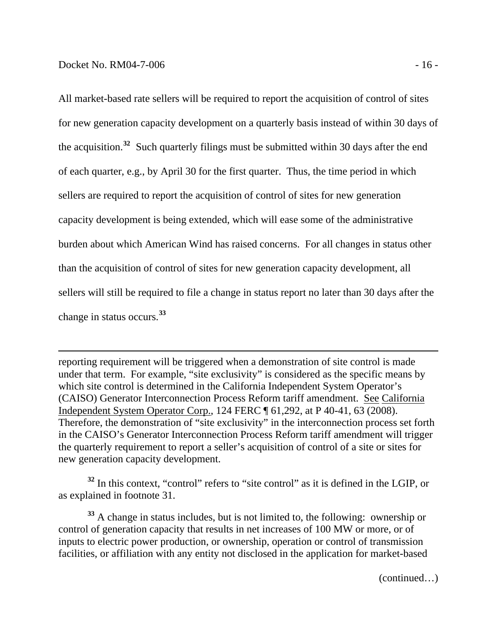$\overline{a}$ 

burden about which American Wind has raised concerns. For all changes in status other change in status occurs.<sup>33</sup> All market-based rate sellers will be required to report the acquisition of control of sites for new generation capacity development on a quarterly basis instead of within 30 days of the acquisition.**<sup>32</sup>** Such quarterly filings must be submitted within 30 days after the end of each quarter, e.g., by April 30 for the first quarter. Thus, the time period in which sellers are required to report the acquisition of control of sites for new generation capacity development is being extended, which will ease some of the administrative than the acquisition of control of sites for new generation capacity development, all sellers will still be required to file a change in status report no later than 30 days after the

reporting requirement will be triggered when a demonstration of site control is made under that term. For example, "site exclusivity" is considered as the specific means by which site control is determined in the California Independent System Operator's (CAISO) Generator Interconnection Process Reform tariff amendment. See California Independent System Operator Corp., 124 FERC ¶ 61,292, at P 40-41, 63 (2008). Therefore, the demonstration of "site exclusivity" in the interconnection process set forth in the CAISO's Generator Interconnection Process Reform tariff amendment will trigger the quarterly requirement to report a seller's acquisition of control of a site or sites for new generation capacity development.

<sup>32</sup> In this context, "control" refers to "site control" as it is defined in the LGIP, or as explained in footnote 31.

**<sup>33</sup>** A change in status includes, but is not limited to, the following: ownership or control of generation capacity that results in net increases of 100 MW or more, or of inputs to electric power production, or ownership, operation or control of transmission facilities, or affiliation with any entity not disclosed in the application for market-based

(continued…)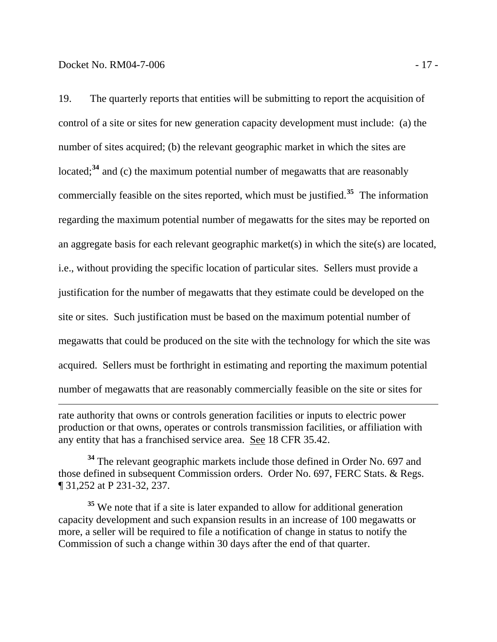$\overline{a}$ 19. The quarterly reports that entities will be submitting to report the acquisition of control of a site or sites for new generation capacity development must include: (a) the number of sites acquired; (b) the relevant geographic market in which the sites are located;<sup>[34](#page-19-0)</sup> and (c) the maximum potential number of megawatts that are reasonably commercially feasible on the sites reported, which must be justified.**[35](#page-19-1)** The information regarding the maximum potential number of megawatts for the sites may be reported on an aggregate basis for each relevant geographic market(s) in which the site(s) are located, i.e., without providing the specific location of particular sites. Sellers must provide a justification for the number of megawatts that they estimate could be developed on the site or sites. Such justification must be based on the maximum potential number of megawatts that could be produced on the site with the technology for which the site was acquired. Sellers must be forthright in estimating and reporting the maximum potential number of megawatts that are reasonably commercially feasible on the site or sites for

rate authority that owns or controls generation facilities or inputs to electric power production or that owns, operates or controls transmission facilities, or affiliation with any entity that has a franchised service area. See 18 CFR 35.42.

<span id="page-19-0"></span>**<sup>34</sup>** The relevant geographic markets include those defined in Order No. 697 and those defined in subsequent Commission orders. Order No. 697, FERC Stats. & Regs. ¶ 31,252 at P 231-32, 237.

<span id="page-19-1"></span><sup>35</sup> We note that if a site is later expanded to allow for additional generation capacity development and such expansion results in an increase of 100 megawatts or more, a seller will be required to file a notification of change in status to notify the Commission of such a change within 30 days after the end of that quarter.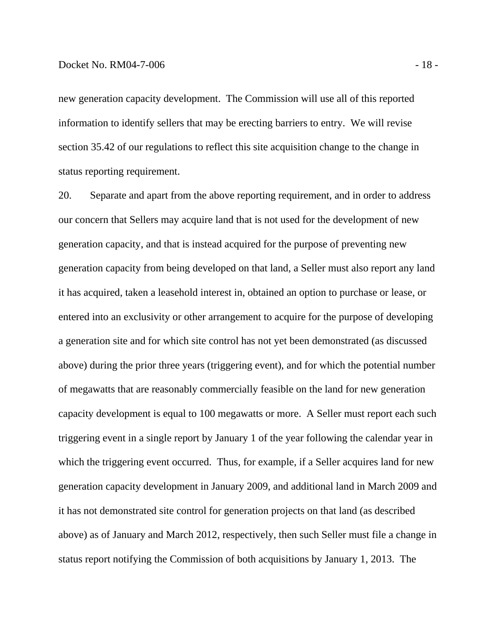new generation capacity development. The Commission will use all of this reported information to identify sellers that may be erecting barriers to entry. We will revise section 35.42 of our regulations to reflect this site acquisition change to the change in status reporting requirement.

20. Separate and apart from the above reporting requirement, and in order to address our concern that Sellers may acquire land that is not used for the development of new generation capacity, and that is instead acquired for the purpose of preventing new generation capacity from being developed on that land, a Seller must also report any land it has acquired, taken a leasehold interest in, obtained an option to purchase or lease, or entered into an exclusivity or other arrangement to acquire for the purpose of developing a generation site and for which site control has not yet been demonstrated (as discussed above) during the prior three years (triggering event), and for which the potential number of megawatts that are reasonably commercially feasible on the land for new generation capacity development is equal to 100 megawatts or more. A Seller must report each such triggering event in a single report by January 1 of the year following the calendar year in which the triggering event occurred. Thus, for example, if a Seller acquires land for new generation capacity development in January 2009, and additional land in March 2009 and it has not demonstrated site control for generation projects on that land (as described above) as of January and March 2012, respectively, then such Seller must file a change in status report notifying the Commission of both acquisitions by January 1, 2013. The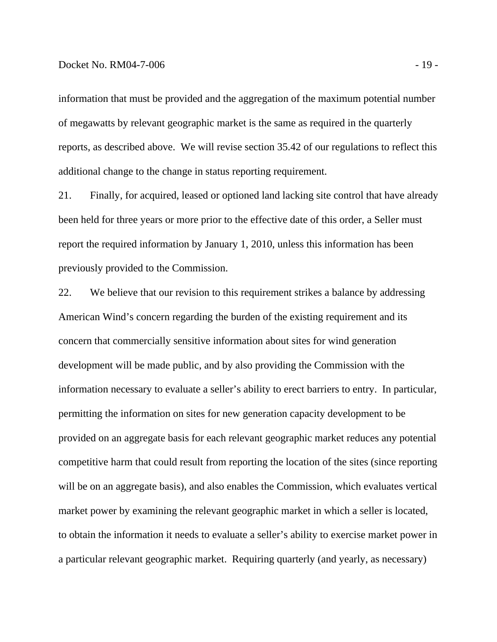#### Docket No. RM04-7-006 - 19 -

information that must be provided and the aggregation of the maximum potential number of megawatts by relevant geographic market is the same as required in the quarterly reports, as described above. We will revise section 35.42 of our regulations to reflect this additional change to the change in status reporting requirement.

21. Finally, for acquired, leased or optioned land lacking site control that have already been held for three years or more prior to the effective date of this order, a Seller must report the required information by January 1, 2010, unless this information has been previously provided to the Commission.

22. We believe that our revision to this requirement strikes a balance by addressing American Wind's concern regarding the burden of the existing requirement and its concern that commercially sensitive information about sites for wind generation development will be made public, and by also providing the Commission with the information necessary to evaluate a seller's ability to erect barriers to entry. In particular, permitting the information on sites for new generation capacity development to be provided on an aggregate basis for each relevant geographic market reduces any potential competitive harm that could result from reporting the location of the sites (since reporting will be on an aggregate basis), and also enables the Commission, which evaluates vertical market power by examining the relevant geographic market in which a seller is located, to obtain the information it needs to evaluate a seller's ability to exercise market power in a particular relevant geographic market. Requiring quarterly (and yearly, as necessary)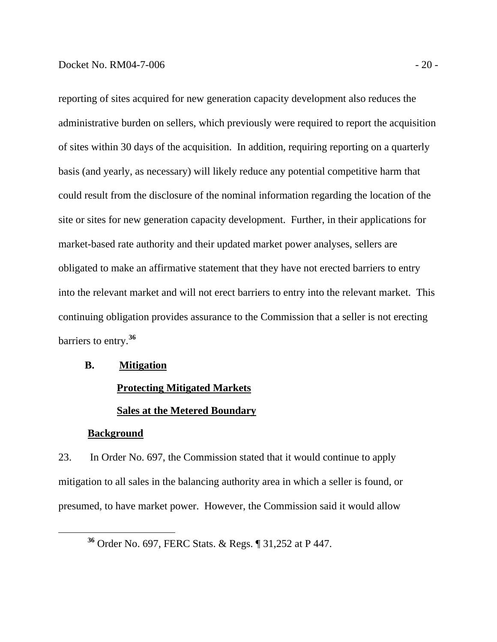<span id="page-22-0"></span>reporting of sites acquired for new generation capacity development also reduces the administrative burden on sellers, which previously were required to report the acquisition of sites within 30 days of the acquisition. In addition, requiring reporting on a quarterly basis (and yearly, as necessary) will likely reduce any potential competitive harm that could result from the disclosure of the nominal information regarding the location of the site or sites for new generation capacity development. Further, in their applications for market-based rate authority and their updated market power analyses, sellers are obligated to make an affirmative statement that they have not erected barriers to entry into the relevant market and will not erect barriers to entry into the relevant market. This continuing obligation provides assurance to the Commission that a seller is not erecting barriers to entry.**<sup>36</sup>**

#### **B. Mitigation**

#### **Protecting Mitigated Markets**

#### **Sales at the Metered Boundary**

#### **Background**

23. In Order No. 697, the Commission stated that it would continue to apply mitigation to all sales in the balancing authority area in which a seller is found, or presumed, to have market power. However, the Commission said it would allow

**<sup>36</sup>** Order No. 697, FERC Stats. & Regs. ¶ 31,252 at P 447.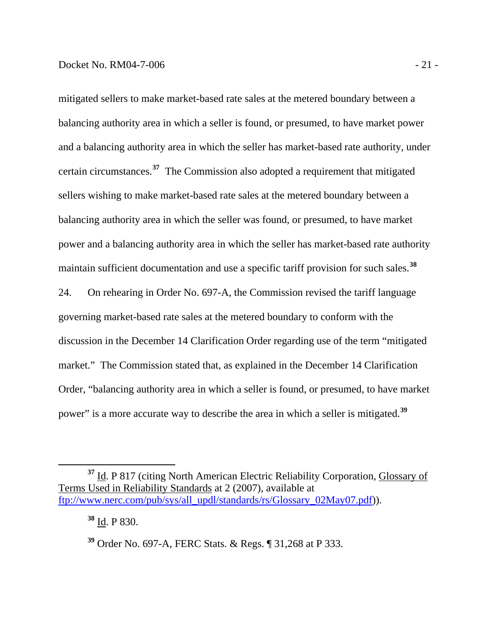mitigated sellers to make market-based rate sales at the metered boundary between a balancing authority area in which a seller is found, or presumed, to have market power and a balancing authority area in which the seller has market-based rate authority, under certain circumstances.**<sup>37</sup>** The Commission also adopted a requirement that mitigated sellers wishing to make market-based rate sales at the metered boundary between a balancing authority area in which the seller was found, or presumed, to have market power and a balancing authority area in which the seller has market-based rate authority maintain sufficient documentation and use a specific tariff provision for such sales.**<sup>38</sup>**

24. On rehearing in Order No. 697-A, the Commission revised the tariff language governing market-based rate sales at the metered boundary to conform with the discussion in the December 14 Clarification Order regarding use of the term "mitigated market." The Commission stated that, as explained in the December 14 Clarification Order, "balancing authority area in which a seller is found, or presumed, to have market power" is a more accurate way to describe the area in which a seller is mitigated.**[39](#page-23-0)**

**<sup>37</sup>** Id. P 817 (citing North American Electric Reliability Corporation, Glossary of Terms Used in Reliability Standards at 2 (2007), available at [ftp://www.nerc.com/pub/sys/all\\_updl/standards/rs/Glossary\\_02May07.pdf\)](ftp://www.nerc.com/pub/sys/all_updl/standards/rs/Glossary_02May07.pdf)).

**<sup>38</sup>** Id. P 830.

<span id="page-23-0"></span>**<sup>39</sup>** Order No. 697-A, FERC Stats. & Regs. ¶ 31,268 at P 333.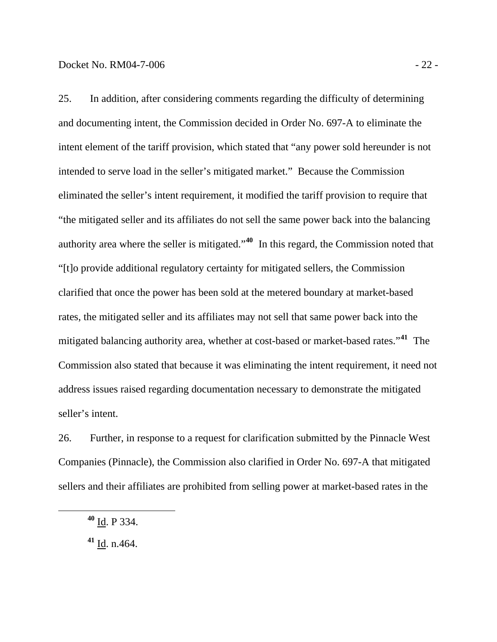25. In addition, after considering comments regarding the difficulty of determining and documenting intent, the Commission decided in Order No. 697-A to eliminate the intent element of the tariff provision, which stated that "any power sold hereunder is not intended to serve load in the seller's mitigated market." Because the Commission eliminated the seller's intent requirement, it modified the tariff provision to require that "the mitigated seller and its affiliates do not sell the same power back into the balancing authority area where the seller is mitigated."**[40](#page-24-0)** In this regard, the Commission noted that "[t]o provide additional regulatory certainty for mitigated sellers, the Commission clarified that once the power has been sold at the metered boundary at market-based rates, the mitigated seller and its affiliates may not sell that same power back into the mitigated balancing authority area, whether at cost-based or market-based rates."**[41](#page-24-1)** The Commission also stated that because it was eliminating the intent requirement, it need not address issues raised regarding documentation necessary to demonstrate the mitigated seller's intent.

26. Further, in response to a request for clarification submitted by the Pinnacle West Companies (Pinnacle), the Commission also clarified in Order No. 697-A that mitigated sellers and their affiliates are prohibited from selling power at market-based rates in the

<span id="page-24-1"></span><span id="page-24-0"></span> $\overline{a}$ 

**<sup>41</sup>** Id. n.464.

**<sup>40</sup>** Id. P 334.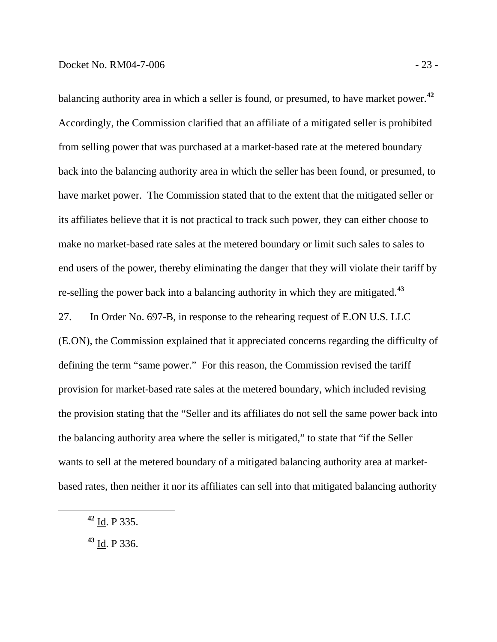balancing authority area in which a seller is found, or presumed, to have market power.**<sup>42</sup>** Accordingly, the Commission clarified that an affiliate of a mitigated seller is prohibited from selling power that was purchased at a market-based rate at the metered boundary back into the balancing authority area in which the seller has been found, or presumed, to have market power. The Commission stated that to the extent that the mitigated seller or its affiliates believe that it is not practical to track such power, they can either choose to make no market-based rate sales at the metered boundary or limit such sales to sales to end users of the power, thereby eliminating the danger that they will violate their tariff by re-selling the power back into a balancing authority in which they are mitigated.**<sup>43</sup>**

27. In Order No. 697-B, in response to the rehearing request of E.ON U.S. LLC (E.ON), the Commission explained that it appreciated concerns regarding the difficulty of defining the term "same power." For this reason, the Commission revised the tariff provision for market-based rate sales at the metered boundary, which included revising the provision stating that the "Seller and its affiliates do not sell the same power back into the balancing authority area where the seller is mitigated," to state that "if the Seller wants to sell at the metered boundary of a mitigated balancing authority area at marketbased rates, then neither it nor its affiliates can sell into that mitigated balancing authority

**<sup>42</sup>** Id. P 335.

**<sup>43</sup>** Id. P 336.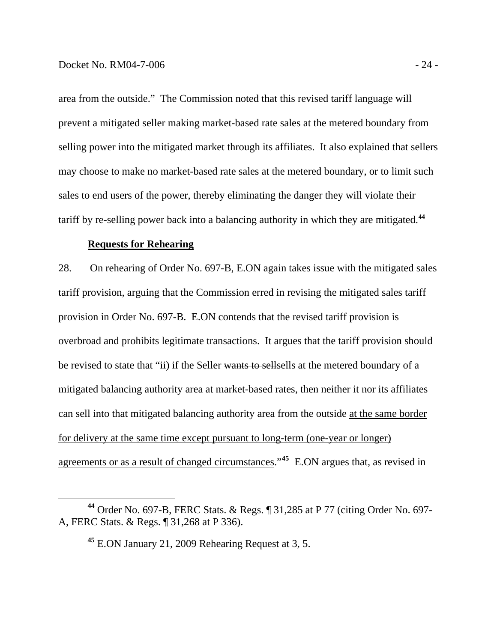area from the outside." The Commission noted that this revised tariff language will prevent a mitigated seller making market-based rate sales at the metered boundary from selling power into the mitigated market through its affiliates. It also explained that sellers may choose to make no market-based rate sales at the metered boundary, or to limit such sales to end users of the power, thereby eliminating the danger they will violate their tariff by re-selling power back into a balancing authority in which they are mitigated.**<sup>44</sup>**

#### **Requests for Rehearing**

28. On rehearing of Order No. 697-B, E.ON again takes issue with the mitigated sales tariff provision, arguing that the Commission erred in revising the mitigated sales tariff provision in Order No. 697-B. E.ON contends that the revised tariff provision is overbroad and prohibits legitimate transactions. It argues that the tariff provision should be revised to state that "ii) if the Seller wants to sellsells at the metered boundary of a mitigated balancing authority area at market-based rates, then neither it nor its affiliates can sell into that mitigated balancing authority area from the outside at the same border for delivery at the same time except pursuant to long-term (one-year or longer) agreements or as a result of changed circumstances."**[45](#page-26-0)** E.ON argues that, as revised in

<span id="page-26-0"></span>**<sup>44</sup>** Order No. 697-B, FERC Stats. & Regs. ¶ 31,285 at P 77 (citing Order No. 697- A, FERC Stats. & Regs. ¶ 31,268 at P 336).

**<sup>45</sup>** E.ON January 21, 2009 Rehearing Request at 3, 5.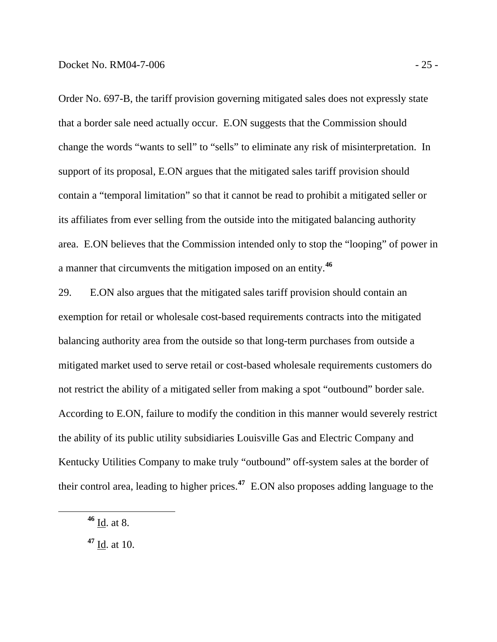Order No. 697-B, the tariff provision governing mitigated sales does not expressly state that a border sale need actually occur. E.ON suggests that the Commission should change the words "wants to sell" to "sells" to eliminate any risk of misinterpretation. In support of its proposal, E.ON argues that the mitigated sales tariff provision should contain a "temporal limitation" so that it cannot be read to prohibit a mitigated seller or its affiliates from ever selling from the outside into the mitigated balancing authority area. E.ON believes that the Commission intended only to stop the "looping" of power in a manner that circumvents the mitigation imposed on an entity.**<sup>46</sup>**

29. E.ON also argues that the mitigated sales tariff provision should contain an exemption for retail or wholesale cost-based requirements contracts into the mitigated balancing authority area from the outside so that long-term purchases from outside a mitigated market used to serve retail or cost-based wholesale requirements customers do not restrict the ability of a mitigated seller from making a spot "outbound" border sale. According to E.ON, failure to modify the condition in this manner would severely restrict the ability of its public utility subsidiaries Louisville Gas and Electric Company and Kentucky Utilities Company to make truly "outbound" off-system sales at the border of their control area, leading to higher prices.**[47](#page-27-0)** E.ON also proposes adding language to the

**<sup>46</sup>** Id. at 8.

<span id="page-27-0"></span>**<sup>47</sup>** Id. at 10.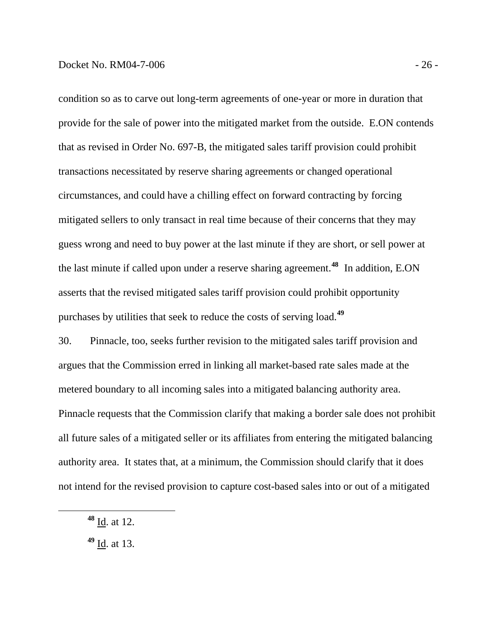condition so as to carve out long-term agreements of one-year or more in duration that provide for the sale of power into the mitigated market from the outside. E.ON contends that as revised in Order No. 697-B, the mitigated sales tariff provision could prohibit transactions necessitated by reserve sharing agreements or changed operational circumstances, and could have a chilling effect on forward contracting by forcing mitigated sellers to only transact in real time because of their concerns that they may guess wrong and need to buy power at the last minute if they are short, or sell power at the last minute if called upon under a reserve sharing agreement.**<sup>48</sup>** In addition, E.ON asserts that the revised mitigated sales tariff provision could prohibit opportunity purchases by utilities that seek to reduce the costs of serving load.**<sup>49</sup>**

30. Pinnacle, too, seeks further revision to the mitigated sales tariff provision and argues that the Commission erred in linking all market-based rate sales made at the metered boundary to all incoming sales into a mitigated balancing authority area. Pinnacle requests that the Commission clarify that making a border sale does not prohibit all future sales of a mitigated seller or its affiliates from entering the mitigated balancing authority area. It states that, at a minimum, the Commission should clarify that it does not intend for the revised provision to capture cost-based sales into or out of a mitigated

**<sup>48</sup>** Id. at 12.

**<sup>49</sup>** Id. at 13.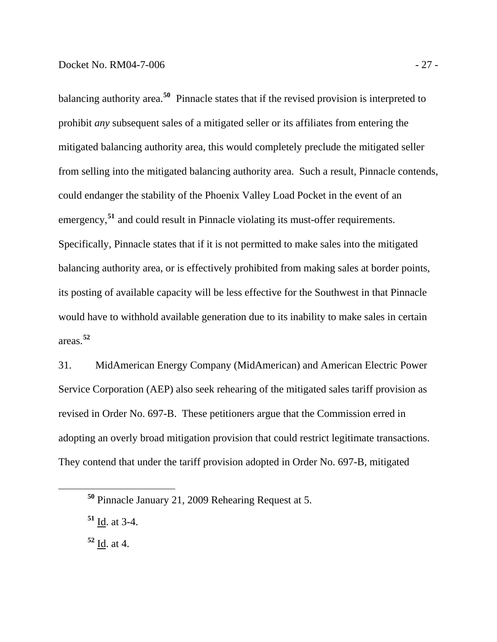balancing authority area.**<sup>50</sup>** Pinnacle states that if the revised provision is interpreted to prohibit *any* subsequent sales of a mitigated seller or its affiliates from entering the mitigated balancing authority area, this would completely preclude the mitigated seller from selling into the mitigated balancing authority area. Such a result, Pinnacle contends, could endanger the stability of the Phoenix Valley Load Pocket in the event of an emergency,<sup>51</sup> and could result in Pinnacle violating its must-offer requirements. Specifically, Pinnacle states that if it is not permitted to make sales into the mitigated balancing authority area, or is effectively prohibited from making sales at border points, its posting of available capacity will be less effective for the Southwest in that Pinnacle would have to withhold available generation due to its inability to make sales in certain areas.**<sup>52</sup>**

31. MidAmerican Energy Company (MidAmerican) and American Electric Power Service Corporation (AEP) also seek rehearing of the mitigated sales tariff provision as revised in Order No. 697-B. These petitioners argue that the Commission erred in adopting an overly broad mitigation provision that could restrict legitimate transactions. They contend that under the tariff provision adopted in Order No. 697-B, mitigated

**<sup>52</sup>** Id. at 4.

**<sup>50</sup>** Pinnacle January 21, 2009 Rehearing Request at 5.

**<sup>51</sup>** Id. at 3-4.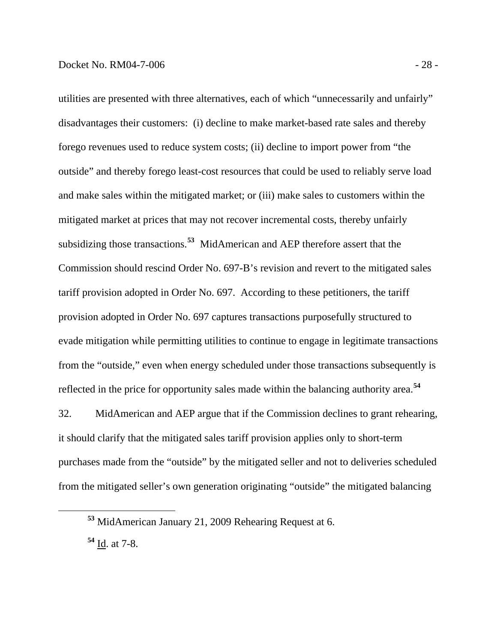utilities are presented with three alternatives, each of which "unnecessarily and unfairly" disadvantages their customers: (i) decline to make market-based rate sales and thereby forego revenues used to reduce system costs; (ii) decline to import power from "the outside" and thereby forego least-cost resources that could be used to reliably serve load and make sales within the mitigated market; or (iii) make sales to customers within the mitigated market at prices that may not recover incremental costs, thereby unfairly subsidizing those transactions.**<sup>53</sup>** MidAmerican and AEP therefore assert that the Commission should rescind Order No. 697-B's revision and revert to the mitigated sales tariff provision adopted in Order No. 697. According to these petitioners, the tariff provision adopted in Order No. 697 captures transactions purposefully structured to evade mitigation while permitting utilities to continue to engage in legitimate transactions from the "outside," even when energy scheduled under those transactions subsequently is reflected in the price for opportunity sales made within the balancing authority area.**<sup>54</sup>**

32. MidAmerican and AEP argue that if the Commission declines to grant rehearing, it should clarify that the mitigated sales tariff provision applies only to short-term purchases made from the "outside" by the mitigated seller and not to deliveries scheduled from the mitigated seller's own generation originating "outside" the mitigated balancing

**<sup>54</sup>** Id. at 7-8.

**<sup>53</sup>** MidAmerican January 21, 2009 Rehearing Request at 6.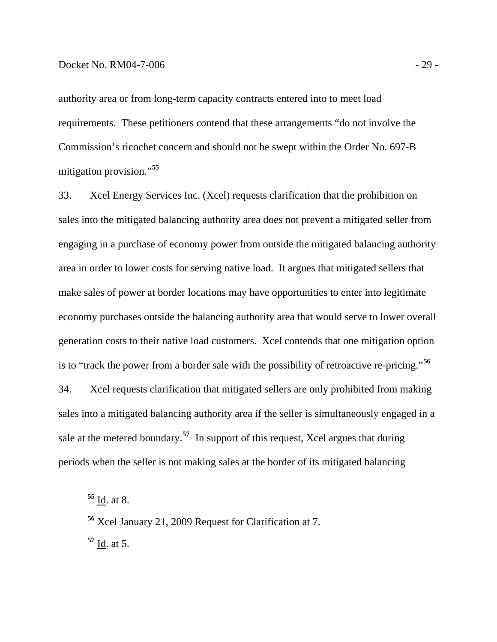authority area or from long-term capacity contracts entered into to meet load requirements. These petitioners contend that these arrangements "do not involve the Commission's ricochet concern and should not be swept within the Order No. 697-B mitigation provision."**<sup>55</sup>**

33. Xcel Energy Services Inc. (Xcel) requests clarification that the prohibition on sales into the mitigated balancing authority area does not prevent a mitigated seller from engaging in a purchase of economy power from outside the mitigated balancing authority area in order to lower costs for serving native load. It argues that mitigated sellers that make sales of power at border locations may have opportunities to enter into legitimate economy purchases outside the balancing authority area that would serve to lower overall generation costs to their native load customers. Xcel contends that one mitigation option is to "track the power from a border sale with the possibility of retroactive re-pricing."**[56](#page-31-0)** 34. Xcel requests clarification that mitigated sellers are only prohibited from making sales into a mitigated balancing authority area if the seller is simultaneously engaged in a sale at the metered boundary.**[57](#page-31-1)** In support of this request, Xcel argues that during

<span id="page-31-0"></span>periods when the seller is not making sales at the border of its mitigated balancing

**<sup>55</sup>** Id. at 8.

<span id="page-31-1"></span>**<sup>56</sup>** Xcel January 21, 2009 Request for Clarification at 7. **<sup>57</sup>** Id. at 5.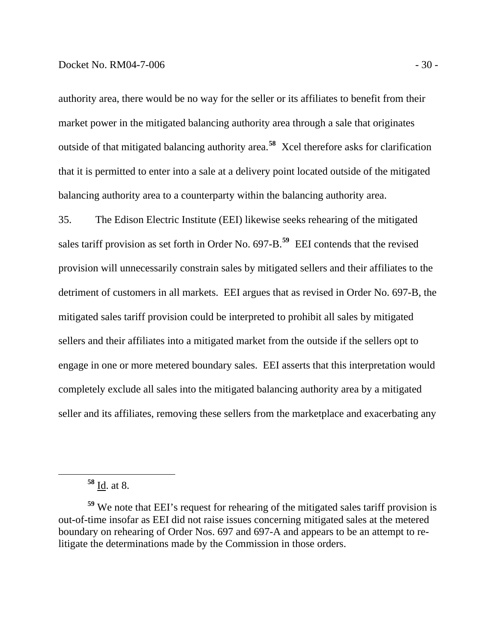market power in the mitigated balancing authority area through a sale that originates outside of that mitigated balancing authority area.<sup>58</sup> Xcel therefore asks for clarification balancing authority area to a counterparty within the balancing authority area. authority area, there would be no way for the seller or its affiliates to benefit from their that it is permitted to enter into a sale at a delivery point located outside of the mitigated

35. The Edison Electric Institute (EEI) likewise seeks rehearing of the mitigated sales tariff provision as set forth in Order No. 697-B.**[59](#page-32-0)** EEI contends that the revised provision will unnecessarily constrain sales by mitigated sellers and their affiliates to the detriment of customers in all markets. EEI argues that as revised in Order No. 697-B, the mitigated sales tariff provision could be interpreted to prohibit all sales by mitigated sellers and their affiliates into a mitigated market from the outside if the sellers opt to engage in one or more metered boundary sales. EEI asserts that this interpretation would completely exclude all sales into the mitigated balancing authority area by a mitigated seller and its affiliates, removing these sellers from the marketplace and exacerbating any

**<sup>58</sup>** Id. at 8.

<span id="page-32-0"></span>**<sup>59</sup>** We note that EEI's request for rehearing of the mitigated sales tariff provision is out-of-time insofar as EEI did not raise issues concerning mitigated sales at the metered boundary on rehearing of Order Nos. 697 and 697-A and appears to be an attempt to relitigate the determinations made by the Commission in those orders.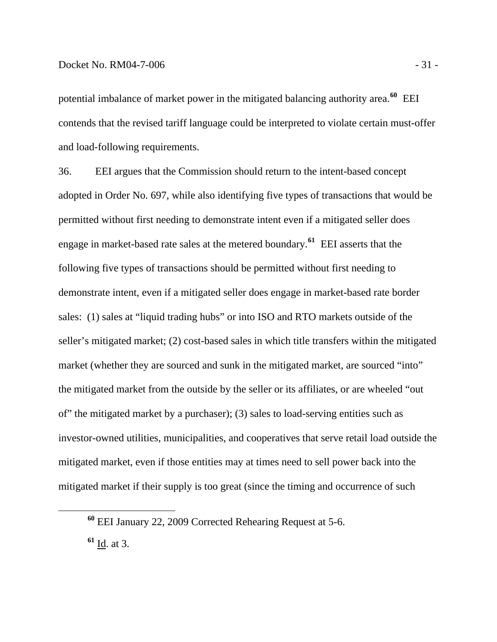potential imbalance of market power in the mitigated balancing authority area.**<sup>60</sup>** EEI contends that the revised tariff language could be interpreted to violate certain must-offer and load-following requirements.

36. EEI argues that the Commission should return to the intent-based concept adopted in Order No. 697, while also identifying five types of transactions that would be permitted without first needing to demonstrate intent even if a mitigated seller does engage in market-based rate sales at the metered boundary.**[61](#page-33-0)** EEI asserts that the following five types of transactions should be permitted without first needing to demonstrate intent, even if a mitigated seller does engage in market-based rate border sales: (1) sales at "liquid trading hubs" or into ISO and RTO markets outside of the seller's mitigated market; (2) cost-based sales in which title transfers within the mitigated market (whether they are sourced and sunk in the mitigated market, are sourced "into" the mitigated market from the outside by the seller or its affiliates, or are wheeled "out of" the mitigated market by a purchaser); (3) sales to load-serving entities such as investor-owned utilities, municipalities, and cooperatives that serve retail load outside the mitigated market, even if those entities may at times need to sell power back into the mitigated market if their supply is too great (since the timing and occurrence of such

<span id="page-33-0"></span>**<sup>61</sup>** Id. at 3.

**<sup>60</sup>** EEI January 22, 2009 Corrected Rehearing Request at 5-6.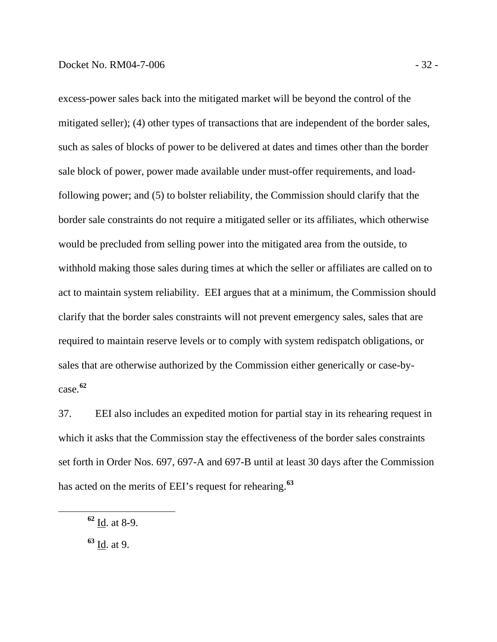excess-power sales back into the mitigated market will be beyond the control of the mitigated seller); (4) other types of transactions that are independent of the border sales, such as sales of blocks of power to be delivered at dates and times other than the border sale block of power, power made available under must-offer requirements, and loadfollowing power; and (5) to bolster reliability, the Commission should clarify that the border sale constraints do not require a mitigated seller or its affiliates, which otherwise would be precluded from selling power into the mitigated area from the outside, to withhold making those sales during times at which the seller or affiliates are called on to act to maintain system reliability. EEI argues that at a minimum, the Commission should clarify that the border sales constraints will not prevent emergency sales, sales that are required to maintain reserve levels or to comply with system redispatch obligations, or sales that are otherwise authorized by the Commission either generically or case-bycase.**<sup>62</sup>**

37. EEI also includes an expedited motion for partial stay in its rehearing request in which it asks that the Commission stay the effectiveness of the border sales constraints set forth in Order Nos. 697, 697-A and 697-B until at least 30 days after the Commission has acted on the merits of EEI's request for rehearing.**[63](#page-34-0)**

<span id="page-34-0"></span>**<sup>63</sup>** Id. at 9.

**<sup>62</sup>** Id. at 8-9.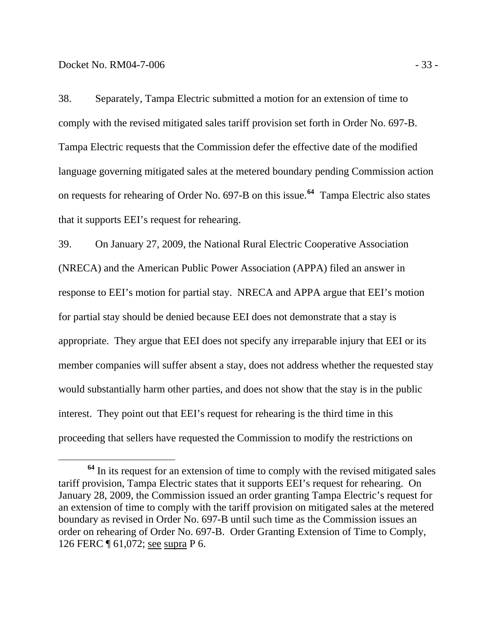38. Separately, Tampa Electric submitted a motion for an extension of time to comply with the revised mitigated sales tariff provision set forth in Order No. 697-B. Tampa Electric requests that the Commission defer the effective date of the modified language governing mitigated sales at the metered boundary pending Commission action on requests for rehearing of Order No. 697-B on this issue.**[64](#page-35-0)** Tampa Electric also states that it supports EEI's request for rehearing.

39. On January 27, 2009, the National Rural Electric Cooperative Association (NRECA) and the American Public Power Association (APPA) filed an answer in response to EEI's motion for partial stay. NRECA and APPA argue that EEI's motion for partial stay should be denied because EEI does not demonstrate that a stay is appropriate. They argue that EEI does not specify any irreparable injury that EEI or its member companies will suffer absent a stay, does not address whether the requested stay would substantially harm other parties, and does not show that the stay is in the public interest. They point out that EEI's request for rehearing is the third time in this proceeding that sellers have requested the Commission to modify the restrictions on

<span id="page-35-0"></span>**<sup>64</sup>** In its request for an extension of time to comply with the revised mitigated sales tariff provision, Tampa Electric states that it supports EEI's request for rehearing. On January 28, 2009, the Commission issued an order granting Tampa Electric's request for an extension of time to comply with the tariff provision on mitigated sales at the metered boundary as revised in Order No. 697-B until such time as the Commission issues an order on rehearing of Order No. 697-B. Order Granting Extension of Time to Comply, 126 FERC ¶ 61,072; see supra P 6.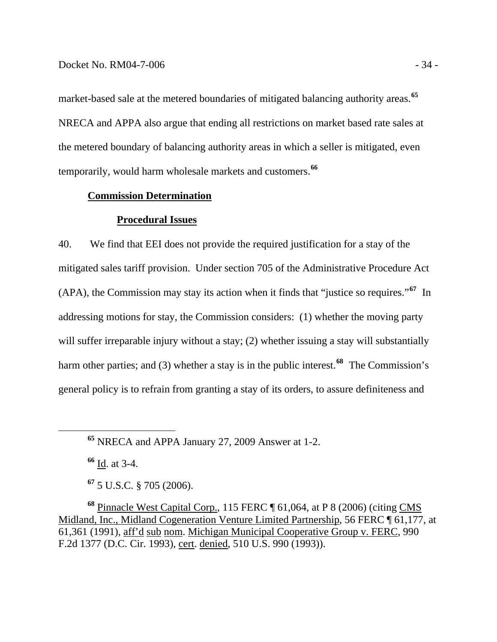market-based sale at the metered boundaries of mitigated balancing authority areas.**<sup>65</sup>** NRECA and APPA also argue that ending all restrictions on market based rate sales at the metered boundary of balancing authority areas in which a seller is mitigated, even temporarily, would harm wholesale markets and customers.**<sup>66</sup>**

#### **Commission Determination**

#### **Procedural Issues**

40. We find that EEI does not provide the required justification for a stay of the mitigated sales tariff provision. Under section 705 of the Administrative Procedure Act (APA), the Commission may stay its action when it finds that "justice so requires."**[67](#page-36-0)** In addressing motions for stay, the Commission considers: (1) whether the moving party will suffer irreparable injury without a stay; (2) whether issuing a stay will substantially harm other parties; and (3) whether a stay is in the public interest.<sup>[68](#page-36-1)</sup> The Commission's general policy is to refrain from granting a stay of its orders, to assure definiteness and

**<sup>66</sup>** Id. at 3-4.

**<sup>67</sup>** 5 U.S.C. § 705 (2006).

<span id="page-36-1"></span><span id="page-36-0"></span>**<sup>68</sup>** Pinnacle West Capital Corp., 115 FERC ¶ 61,064, at P 8 (2006) (citing CMS Midland, Inc., Midland Cogeneration Venture Limited Partnership, 56 FERC ¶ 61,177, at 61,361 (1991), aff'd sub nom. Michigan Municipal Cooperative Group v. FERC, 990 F.2d 1377 (D.C. Cir. 1993), cert. denied, 510 U.S. 990 (1993)).

**<sup>65</sup>** NRECA and APPA January 27, 2009 Answer at 1-2.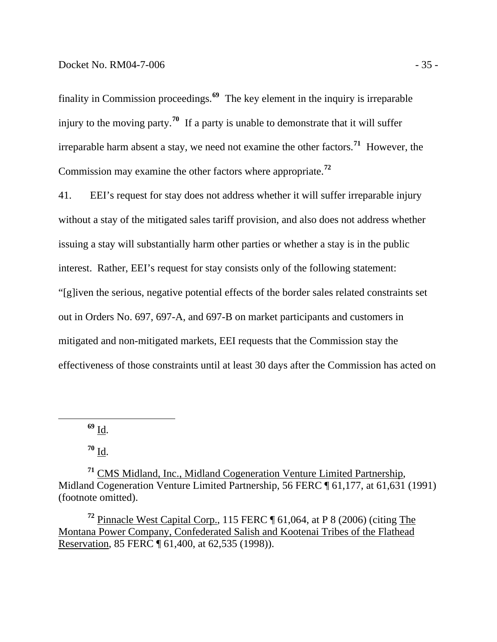finality in Commission proceedings.**<sup>69</sup>** The key element in the inquiry is irreparable injury to the moving party.**<sup>70</sup>** If a party is unable to demonstrate that it will suffer irreparable harm absent a stay, we need not examine the other factors.**<sup>71</sup>** However, the Commission may examine the other factors where appropriate.**<sup>72</sup>**

41. EEI's request for stay does not address whether it will suffer irreparable injury without a stay of the mitigated sales tariff provision, and also does not address whether issuing a stay will substantially harm other parties or whether a stay is in the public interest. Rather, EEI's request for stay consists only of the following statement: "[g]iven the serious, negative potential effects of the border sales related constraints set out in Orders No. 697, 697-A, and 697-B on market participants and customers in mitigated and non-mitigated markets, EEI requests that the Commission stay the effectiveness of those constraints until at least 30 days after the Commission has acted on

**<sup>69</sup>** Id.

 $70 \underline{\mathbf{Id}}$ .

**<sup>71</sup>** CMS Midland, Inc., Midland Cogeneration Venture Limited Partnership, Midland Cogeneration Venture Limited Partnership, 56 FERC ¶ 61,177, at 61,631 (1991) (footnote omitted).

**<sup>72</sup>** Pinnacle West Capital Corp., 115 FERC ¶ 61,064, at P 8 (2006) (citing The Montana Power Company, Confederated Salish and Kootenai Tribes of the Flathead Reservation, 85 FERC ¶ 61,400, at 62,535 (1998)).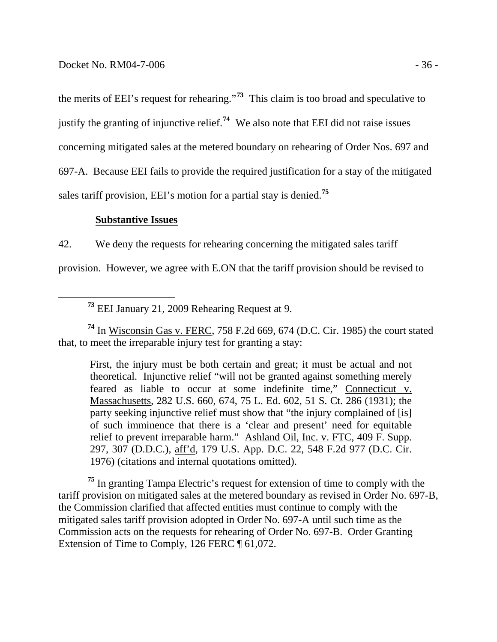the merits of EEI's request for rehearing."**<sup>73</sup>** This claim is too broad and speculative to justify the granting of injunctive relief.**<sup>74</sup>** We also note that EEI did not raise issues concerning mitigated sales at the metered boundary on rehearing of Order Nos. 697 and 697-A. Because EEI fails to provide the required justification for a stay of the mitigated sales tariff provision, EEI's motion for a partial stay is denied.**<sup>75</sup>**

#### **Substantive Issues**

42. We deny the requests for rehearing concerning the mitigated sales tariff

provision. However, we agree with E.ON that the tariff provision should be revised to

**<sup>73</sup>** EEI January 21, 2009 Rehearing Request at 9.

**<sup>74</sup>** In Wisconsin Gas v. FERC, 758 F.2d 669, 674 (D.C. Cir. 1985) the court stated that, to meet the irreparable injury test for granting a stay:

First, the injury must be both certain and great; it must be actual and not theoretical. Injunctive relief "will not be granted against something merely feared as liable to occur at some indefinite time," Connecticut v. Massachusetts, 282 U.S. 660, 674, 75 L. Ed. 602, 51 S. Ct. 286 (1931); the party seeking injunctive relief must show that "the injury complained of [is] of such imminence that there is a 'clear and present' need for equitable relief to prevent irreparable harm." Ashland Oil, Inc. v. FTC, 409 F. Supp. 297, 307 (D.D.C.), aff'd, 179 U.S. App. D.C. 22, 548 F.2d 977 (D.C. Cir. 1976) (citations and internal quotations omitted).

**<sup>75</sup>** In granting Tampa Electric's request for extension of time to comply with the tariff provision on mitigated sales at the metered boundary as revised in Order No. 697-B, the Commission clarified that affected entities must continue to comply with the mitigated sales tariff provision adopted in Order No. 697-A until such time as the Commission acts on the requests for rehearing of Order No. 697-B. Order Granting Extension of Time to Comply, 126 FERC ¶ 61,072.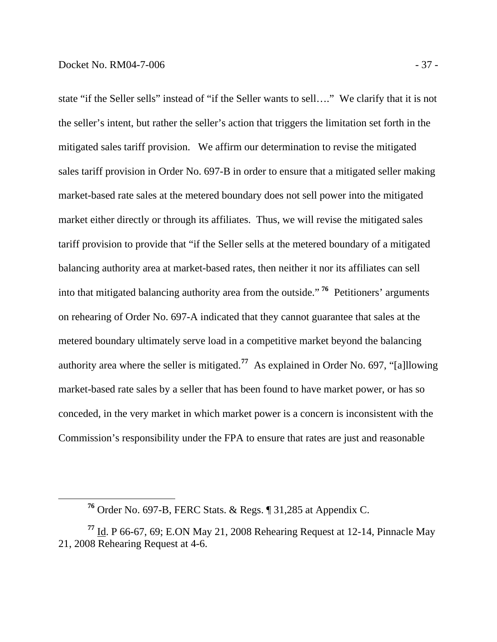$\overline{a}$ 

state "if the Seller sells" instead of "if the Seller wants to sell…." We clarify that it is not the seller's intent, but rather the seller's action that triggers the limitation set forth in the mitigated sales tariff provision. We affirm our determination to revise the mitigated sales tariff provision in Order No. 697-B in order to ensure that a mitigated seller making market-based rate sales at the metered boundary does not sell power into the mitigated market either directly or through its affiliates. Thus, we will revise the mitigated sales tariff provision to provide that "if the Seller sells at the metered boundary of a mitigated balancing authority area at market-based rates, then neither it nor its affiliates can sell into that mitigated balancing authority area from the outside." **<sup>76</sup>** Petitioners' arguments on rehearing of Order No. 697-A indicated that they cannot guarantee that sales at the metered boundary ultimately serve load in a competitive market beyond the balancing authority area where the seller is mitigated.**<sup>77</sup>** As explained in Order No. 697, "[a]llowing market-based rate sales by a seller that has been found to have market power, or has so conceded, in the very market in which market power is a concern is inconsistent with the Commission's responsibility under the FPA to ensure that rates are just and reasonable

**<sup>76</sup>** Order No. 697-B, FERC Stats. & Regs. ¶ 31,285 at Appendix C.

**<sup>77</sup>** Id. P 66-67, 69; E.ON May 21, 2008 Rehearing Request at 12-14, Pinnacle May 21, 2008 Rehearing Request at 4-6.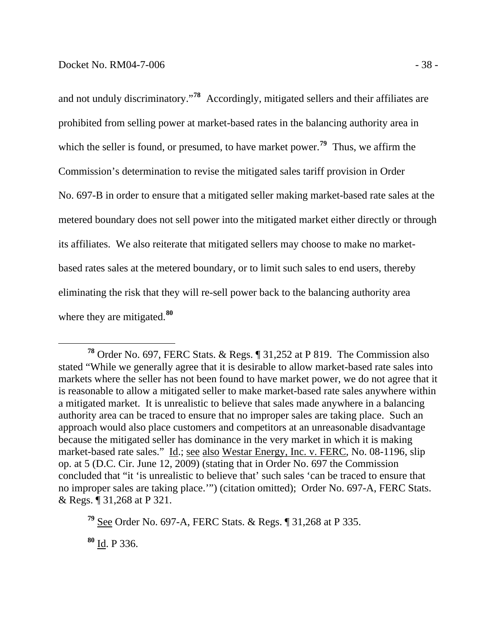and not unduly discriminatory."**<sup>78</sup>** Accordingly, mitigated sellers and their affiliates are prohibited from selling power at market-based rates in the balancing authority area in which the seller is found, or presumed, to have market power.<sup>79</sup> Thus, we affirm the Commission's determination to revise the mitigated sales tariff provision in Order No. 697-B in order to ensure that a mitigated seller making market-based rate sales at the metered boundary does not sell power into the mitigated market either directly or through its affiliates. We also reiterate that mitigated sellers may choose to make no marketbased rates sales at the metered boundary, or to limit such sales to end users, thereby eliminating the risk that they will re-sell power back to the balancing authority area where they are mitigated.**<sup>80</sup>**

**<sup>78</sup>** Order No. 697, FERC Stats. & Regs. ¶ 31,252 at P 819. The Commission also stated "While we generally agree that it is desirable to allow market-based rate sales into markets where the seller has not been found to have market power, we do not agree that it is reasonable to allow a mitigated seller to make market-based rate sales anywhere within a mitigated market. It is unrealistic to believe that sales made anywhere in a balancing authority area can be traced to ensure that no improper sales are taking place. Such an approach would also place customers and competitors at an unreasonable disadvantage because the mitigated seller has dominance in the very market in which it is making market-based rate sales." Id.; see also Westar Energy, Inc. v. FERC, No. 08-1196, slip op. at 5 (D.C. Cir. June 12, 2009) (stating that in Order No. 697 the Commission concluded that "it 'is unrealistic to believe that' such sales 'can be traced to ensure that no improper sales are taking place.'") (citation omitted); Order No. 697-A, FERC Stats. & Regs. ¶ 31,268 at P 321.

**<sup>79</sup>** See Order No. 697-A, FERC Stats. & Regs. ¶ 31,268 at P 335.

**<sup>80</sup>** Id. P 336.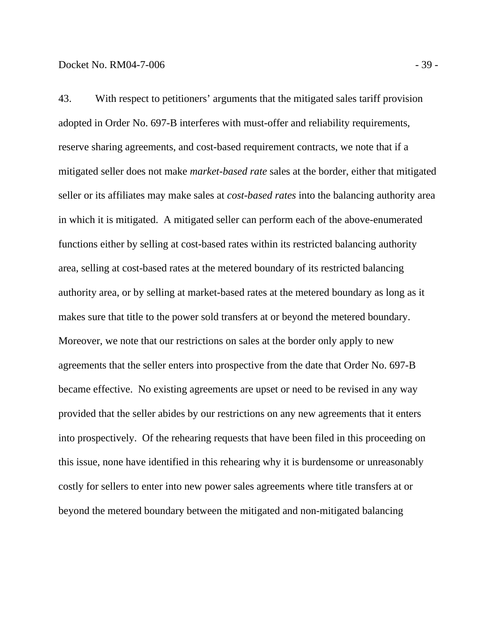43. With respect to petitioners' arguments that the mitigated sales tariff provision adopted in Order No. 697-B interferes with must-offer and reliability requirements, reserve sharing agreements, and cost-based requirement contracts, we note that if a mitigated seller does not make *market-based rate* sales at the border, either that mitigated seller or its affiliates may make sales at *cost-based rates* into the balancing authority area in which it is mitigated. A mitigated seller can perform each of the above-enumerated functions either by selling at cost-based rates within its restricted balancing authority area, selling at cost-based rates at the metered boundary of its restricted balancing authority area, or by selling at market-based rates at the metered boundary as long as it makes sure that title to the power sold transfers at or beyond the metered boundary. Moreover, we note that our restrictions on sales at the border only apply to new agreements that the seller enters into prospective from the date that Order No. 697-B became effective. No existing agreements are upset or need to be revised in any way provided that the seller abides by our restrictions on any new agreements that it enters into prospectively. Of the rehearing requests that have been filed in this proceeding on this issue, none have identified in this rehearing why it is burdensome or unreasonably costly for sellers to enter into new power sales agreements where title transfers at or beyond the metered boundary between the mitigated and non-mitigated balancing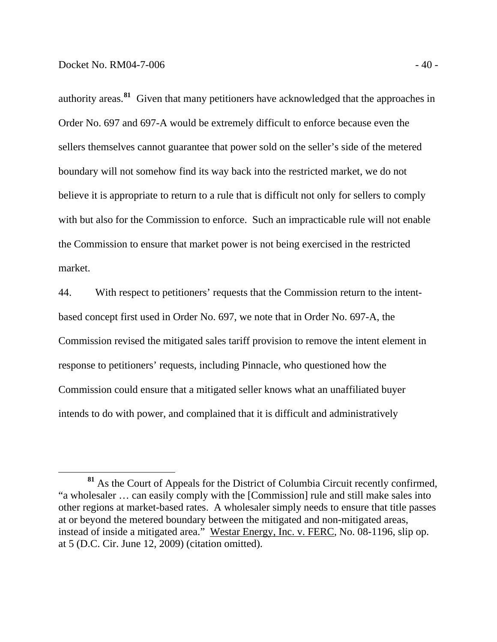authority areas.**<sup>81</sup>** Given that many petitioners have acknowledged that the approaches in Order No. 697 and 697-A would be extremely difficult to enforce because even the sellers themselves cannot guarantee that power sold on the seller's side of the metered boundary will not somehow find its way back into the restricted market, we do not believe it is appropriate to return to a rule that is difficult not only for sellers to comply with but also for the Commission to enforce. Such an impracticable rule will not enable the Commission to ensure that market power is not being exercised in the restricted market.

44. With respect to petitioners' requests that the Commission return to the intentbased concept first used in Order No. 697, we note that in Order No. 697-A, the Commission revised the mitigated sales tariff provision to remove the intent element in response to petitioners' requests, including Pinnacle, who questioned how the Commission could ensure that a mitigated seller knows what an unaffiliated buyer intends to do with power, and complained that it is difficult and administratively

**<sup>81</sup>** As the Court of Appeals for the District of Columbia Circuit recently confirmed, "a wholesaler … can easily comply with the [Commission] rule and still make sales into other regions at market-based rates. A wholesaler simply needs to ensure that title passes at or beyond the metered boundary between the mitigated and non-mitigated areas, instead of inside a mitigated area." Westar Energy, Inc. v. FERC, No. 08-1196, slip op. at 5 (D.C. Cir. June 12, 2009) (citation omitted).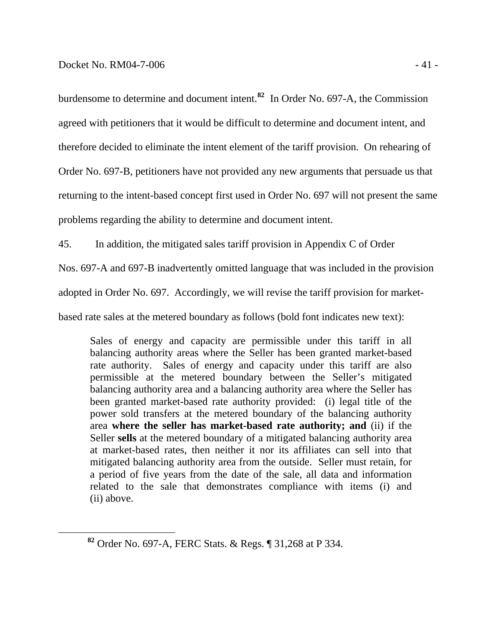burdensome to determine and document intent.**<sup>82</sup>** In Order No. 697-A, the Commission agreed with petitioners that it would be difficult to determine and document intent, and therefore decided to eliminate the intent element of the tariff provision. On rehearing of Order No. 697-B, petitioners have not provided any new arguments that persuade us that returning to the intent-based concept first used in Order No. 697 will not present the same problems regarding the ability to determine and document intent.

45. In addition, the mitigated sales tariff provision in Appendix C of Order

Nos. 697-A and 697-B inadvertently omitted language that was included in the provision

adopted in Order No. 697. Accordingly, we will revise the tariff provision for market-

based rate sales at the metered boundary as follows (bold font indicates new text):

Sales of energy and capacity are permissible under this tariff in all balancing authority areas where the Seller has been granted market-based rate authority. Sales of energy and capacity under this tariff are also permissible at the metered boundary between the Seller's mitigated balancing authority area and a balancing authority area where the Seller has been granted market-based rate authority provided: (i) legal title of the power sold transfers at the metered boundary of the balancing authority area **where the seller has market-based rate authority; and** (ii) if the Seller **sells** at the metered boundary of a mitigated balancing authority area at market-based rates, then neither it nor its affiliates can sell into that mitigated balancing authority area from the outside. Seller must retain, for a period of five years from the date of the sale, all data and information related to the sale that demonstrates compliance with items (i) and (ii) above.

**<sup>82</sup>** Order No. 697-A, FERC Stats. & Regs. ¶ 31,268 at P 334.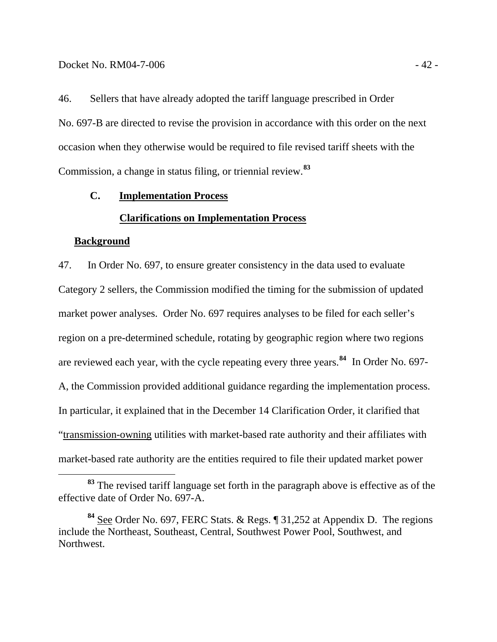<span id="page-44-0"></span>46. Sellers that have already adopted the tariff language prescribed in Order No. 697-B are directed to revise the provision in accordance with this order on the next occasion when they otherwise would be required to file revised tariff sheets with the Commission, a change in status filing, or triennial review.**[83](#page-44-1)**

#### **C. Implementation Process**

#### **Clarifications on Implementation Process**

#### **Background**

47. In Order No. 697, to ensure greater consistency in the data used to evaluate Category 2 sellers, the Commission modified the timing for the submission of updated market power analyses. Order No. 697 requires analyses to be filed for each seller's region on a pre-determined schedule, rotating by geographic region where two regions are reviewed each year, with the cycle repeating every three years.**[84](#page-44-2)** In Order No. 697- A, the Commission provided additional guidance regarding the implementation process. In particular, it explained that in the December 14 Clarification Order, it clarified tha t "transmission-owning utilities with market-based rate authority and their affiliates with market-based rate authority are the entities required to file their updated market power

<span id="page-44-1"></span>**<sup>83</sup>** The revised tariff language set forth in the paragraph above is effective as of the effective date of Order No. 697-A.

<span id="page-44-2"></span>**<sup>84</sup>** See Order No. 697, FERC Stats. & Regs. ¶ 31,252 at Appendix D. The regions include the Northeast, Southeast, Central, Southwest Power Pool, Southwest, and Northwest.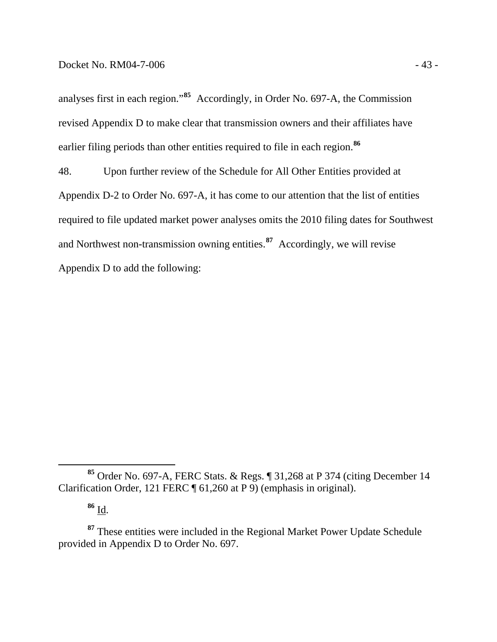analyses first in each region."**<sup>85</sup>** Accordingly, in Order No. 697-A, the Commission revised Appendix D to make clear that transmission owners and their affiliates have earlier filing periods than other entities required to file in each region.**<sup>86</sup>**

48. Upon further review of the Schedule for All Other Entities provided at Appendix D-2 to Order No. 697-A, it has come to our attention that the list of entities required to file updated market power analyses omits the 2010 filing dates for Southwest and Northwest non-transmission owning entities.**[87](#page-45-0)** Accordingly, we will revise Appendix D to add the following:

**<sup>86</sup>** Id.

**<sup>85</sup>** Order No. 697-A, FERC Stats. & Regs. ¶ 31,268 at P 374 (citing December 14 Clarification Order, 121 FERC ¶ 61,260 at P 9) (emphasis in original).

<span id="page-45-0"></span>**<sup>87</sup>** These entities were included in the Regional Market Power Update Schedule provided in Appendix D to Order No. 697.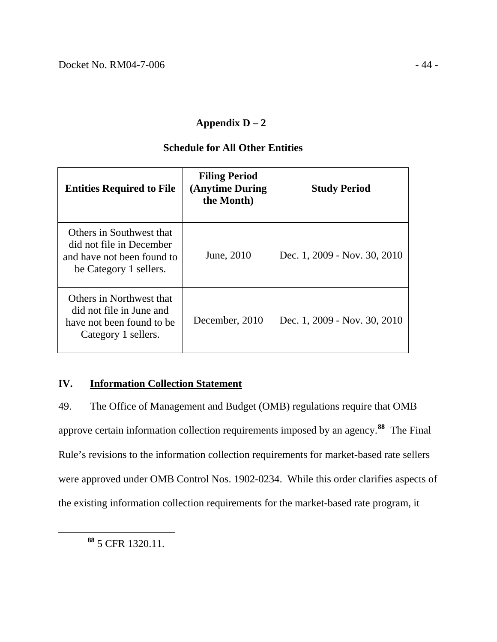## **Appendix D – 2**

## **Schedule for All Other Entities**

<span id="page-46-0"></span>

| <b>Entities Required to File</b>                                                                             | <b>Filing Period</b><br>(Anytime During)<br>the Month) | <b>Study Period</b>          |
|--------------------------------------------------------------------------------------------------------------|--------------------------------------------------------|------------------------------|
| Others in Southwest that<br>did not file in December<br>and have not been found to<br>be Category 1 sellers. | June, 2010                                             | Dec. 1, 2009 - Nov. 30, 2010 |
| Others in Northwest that<br>did not file in June and<br>have not been found to be<br>Category 1 sellers.     | December, 2010                                         | Dec. 1, 2009 - Nov. 30, 2010 |

## **IV. Information Collection Statement**

49. The Office of Management and Budget (OMB) regulations require that OMB approve certain information collection requirements imposed by an agency.**[88](#page-46-1)** The Final Rule's revisions to the information collection requirements for market-based rate sellers were approved under OMB Control Nos. 1902-0234. While this order clarifies aspects of the existing information collection requirements for the market-based rate program, it

<span id="page-46-1"></span>**<sup>88</sup>** 5 CFR 1320.11.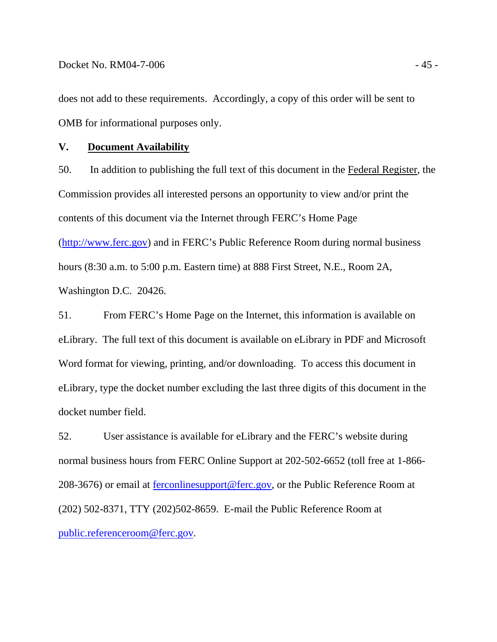<span id="page-47-0"></span>does not add to these requirements. Accordingly, a copy of this order will be sent to OMB for informational purposes only.

## **V. Document Availability**

50. In addition to publishing the full text of this document in the Federal Register, the Commission provides all interested persons an opportunity to view and/or print the contents of this document via the Internet through FERC's Home Page [\(http://www.ferc.gov\)](http://www.ferc.gov/) and in FERC's Public Reference Room during normal business hours (8:30 a.m. to 5:00 p.m. Eastern time) at 888 First Street, N.E., Room 2A, Washington D.C. 20426.

51. From FERC's Home Page on the Internet, this information is available on eLibrary. The full text of this document is available on eLibrary in PDF and Microsoft Word format for viewing, printing, and/or downloading. To access this document in eLibrary, type the docket number excluding the last three digits of this document in the docket number field.

52. User assistance is available for eLibrary and the FERC's website during normal business hours from FERC Online Support at 202-502-6652 (toll free at 1-866 208-3676) or email at [ferconlinesupport@ferc.gov,](mailto:ferconlinesupport@ferc.gov) or the Public Reference Room at (202) 502-8371, TTY (202)502-8659. E-mail the Public Reference Room at [public.referenceroom@ferc.gov](mailto:public.referenceroom@ferc.gov).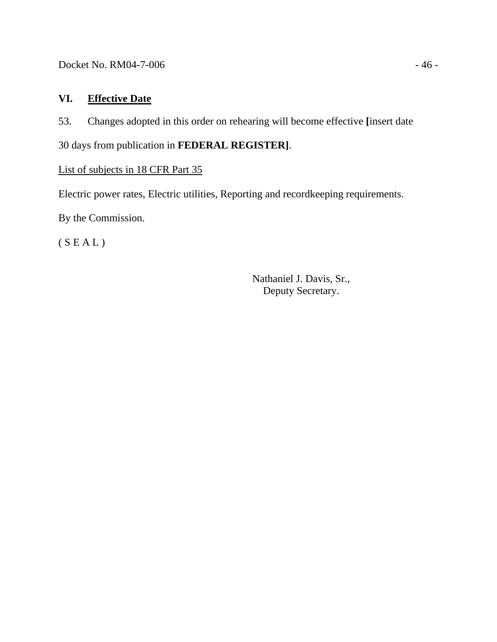<span id="page-48-0"></span>Docket No. RM04-7-006 - 46 -

## **VI. Effective Date**

53. Changes adopted in this order on rehearing will become effective **[**insert date

30 days from publication in **FEDERAL REGISTER]**.

## List of subjects in 18 CFR Part 35

Electric power rates, Electric utilities, Reporting and recordkeeping requirements.

By the Commission.

 $(S E A L)$ 

Nathaniel J. Davis, Sr., Deputy Secretary.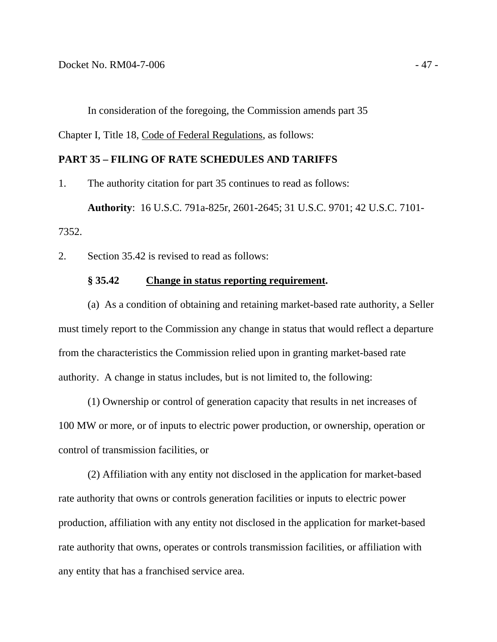In consideration of the foregoing, the Commission amends part 35

Chapter I, Title 18, Code of Federal Regulations, as follows:

#### **PART 35 – FILING OF RATE SCHEDULES AND TARIFFS**

1. The authority citation for part 35 continues to read as follows:

**Authority**: 16 U.S.C. 791a-825r, 2601-2645; 31 U.S.C. 9701; 42 U.S.C. 7101- 7352.

2. Section 35.42 is revised to read as follows:

#### **§ 35.42 Change in status reporting requirement.**

 (a) As a condition of obtaining and retaining market-based rate authority, a Seller must timely report to the Commission any change in status that would reflect a departure from the characteristics the Commission relied upon in granting market-based rate authority. A change in status includes, but is not limited to, the following:

 (1) Ownership or control of generation capacity that results in net increases of 100 MW or more, or of inputs to electric power production, or ownership, operation or control of transmission facilities, or

 (2) Affiliation with any entity not disclosed in the application for market-based rate authority that owns or controls generation facilities or inputs to electric power production, affiliation with any entity not disclosed in the application for market-based rate authority that owns, operates or controls transmission facilities, or affiliation with any entity that has a franchised service area.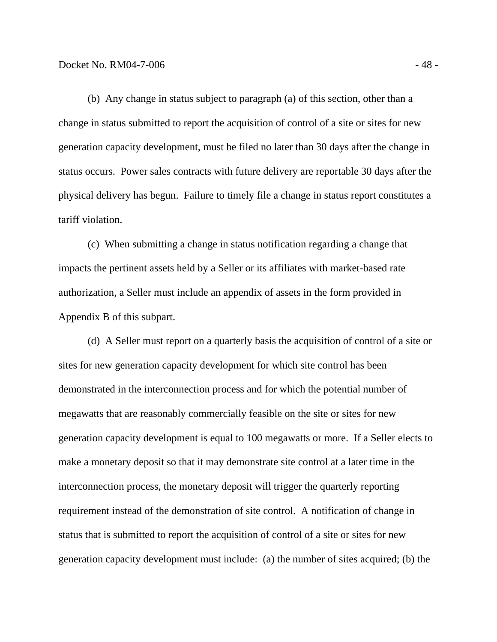(b) Any change in status subject to paragraph (a) of this section, other than a change in status submitted to report the acquisition of control of a site or sites for new generation capacity development, must be filed no later than 30 days after the change in status occurs. Power sales contracts with future delivery are reportable 30 days after the physical delivery has begun. Failure to timely file a change in status report constitutes a tariff violation.

 (c) When submitting a change in status notification regarding a change that impacts the pertinent assets held by a Seller or its affiliates with market-based rate authorization, a Seller must include an appendix of assets in the form provided in Appendix B of this subpart.

 (d) A Seller must report on a quarterly basis the acquisition of control of a site or sites for new generation capacity development for which site control has been demonstrated in the interconnection process and for which the potential number of megawatts that are reasonably commercially feasible on the site or sites for new generation capacity development is equal to 100 megawatts or more. If a Seller elects to make a monetary deposit so that it may demonstrate site control at a later time in the interconnection process, the monetary deposit will trigger the quarterly reporting requirement instead of the demonstration of site control. A notification of change in status that is submitted to report the acquisition of control of a site or sites for new generation capacity development must include: (a) the number of sites acquired; (b) the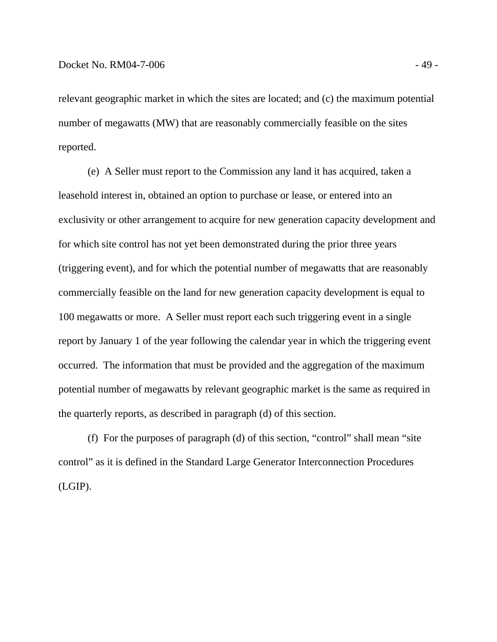relevant geographic market in which the sites are located; and (c) the maximum potential number of megawatts (MW) that are reasonably commercially feasible on the sites reported.

 (e) A Seller must report to the Commission any land it has acquired, taken a leasehold interest in, obtained an option to purchase or lease, or entered into an exclusivity or other arrangement to acquire for new generation capacity development and for which site control has not yet been demonstrated during the prior three years (triggering event), and for which the potential number of megawatts that are reasonably commercially feasible on the land for new generation capacity development is equal to 100 megawatts or more. A Seller must report each such triggering event in a single report by January 1 of the year following the calendar year in which the triggering event occurred. The information that must be provided and the aggregation of the maximum potential number of megawatts by relevant geographic market is the same as required in the quarterly reports, as described in paragraph (d) of this section.

 (f) For the purposes of paragraph (d) of this section, "control" shall mean "site control" as it is defined in the Standard Large Generator Interconnection Procedures (LGIP).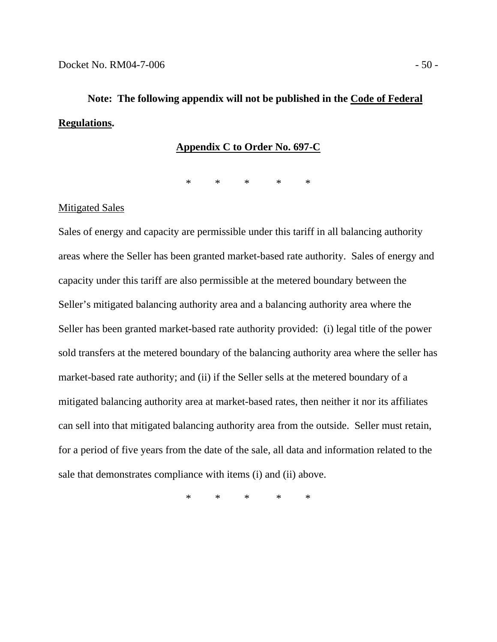# **Note: The following appendix will not be published in the Code of Federal Regulations.**

#### **Appendix C to Order No. 697-C**

\* \* \* \* \*

#### Mitigated Sales

Sales of energy and capacity are permissible under this tariff in all balancing authority areas where the Seller has been granted market-based rate authority. Sales of energy and capacity under this tariff are also permissible at the metered boundary between the Seller's mitigated balancing authority area and a balancing authority area where the Seller has been granted market-based rate authority provided: (i) legal title of the power sold transfers at the metered boundary of the balancing authority area where the seller has market-based rate authority; and (ii) if the Seller sells at the metered boundary of a mitigated balancing authority area at market-based rates, then neither it nor its affiliates can sell into that mitigated balancing authority area from the outside. Seller must retain, for a period of five years from the date of the sale, all data and information related to the sale that demonstrates compliance with items (i) and (ii) above.

\* \* \* \* \*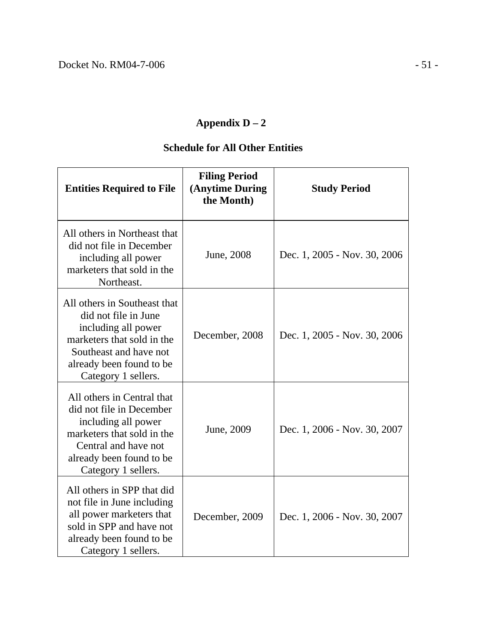## **Appendix D – 2**

## **Schedule for All Other Entities**

| <b>Entities Required to File</b>                                                                                                                                                       | <b>Filing Period</b><br>(Anytime During<br>the Month) | <b>Study Period</b>          |
|----------------------------------------------------------------------------------------------------------------------------------------------------------------------------------------|-------------------------------------------------------|------------------------------|
| All others in Northeast that<br>did not file in December<br>including all power<br>marketers that sold in the<br>Northeast.                                                            | June, 2008                                            | Dec. 1, 2005 - Nov. 30, 2006 |
| All others in Southeast that<br>did not file in June<br>including all power<br>marketers that sold in the<br>Southeast and have not<br>already been found to be<br>Category 1 sellers. | December, 2008                                        | Dec. 1, 2005 - Nov. 30, 2006 |
| All others in Central that<br>did not file in December<br>including all power<br>marketers that sold in the<br>Central and have not<br>already been found to be<br>Category 1 sellers. | June, 2009                                            | Dec. 1, 2006 - Nov. 30, 2007 |
| All others in SPP that did<br>not file in June including<br>all power marketers that<br>sold in SPP and have not<br>already been found to be<br>Category 1 sellers.                    | December, 2009                                        | Dec. 1, 2006 - Nov. 30, 2007 |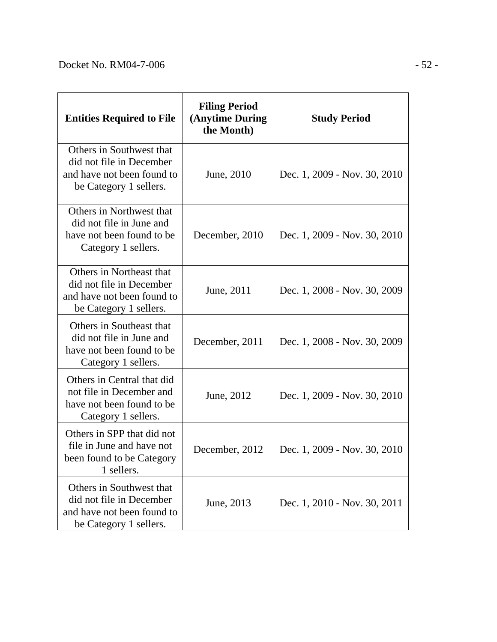| <b>Entities Required to File</b>                                                                             | <b>Filing Period</b><br>(Anytime During<br>the Month) | <b>Study Period</b>          |
|--------------------------------------------------------------------------------------------------------------|-------------------------------------------------------|------------------------------|
| Others in Southwest that<br>did not file in December<br>and have not been found to<br>be Category 1 sellers. | June, 2010                                            | Dec. 1, 2009 - Nov. 30, 2010 |
| Others in Northwest that<br>did not file in June and<br>have not been found to be.<br>Category 1 sellers.    | December, 2010                                        | Dec. 1, 2009 - Nov. 30, 2010 |
| Others in Northeast that<br>did not file in December<br>and have not been found to<br>be Category 1 sellers. | June, 2011                                            | Dec. 1, 2008 - Nov. 30, 2009 |
| Others in Southeast that<br>did not file in June and<br>have not been found to be.<br>Category 1 sellers.    | December, 2011                                        | Dec. 1, 2008 - Nov. 30, 2009 |
| Others in Central that did<br>not file in December and<br>have not been found to be<br>Category 1 sellers.   | June, 2012                                            | Dec. 1, 2009 - Nov. 30, 2010 |
| Others in SPP that did not<br>file in June and have not<br>been found to be Category<br>1 sellers.           | December, 2012                                        | Dec. 1, 2009 - Nov. 30, 2010 |
| Others in Southwest that<br>did not file in December<br>and have not been found to<br>be Category 1 sellers. | June, 2013                                            | Dec. 1, 2010 - Nov. 30, 2011 |